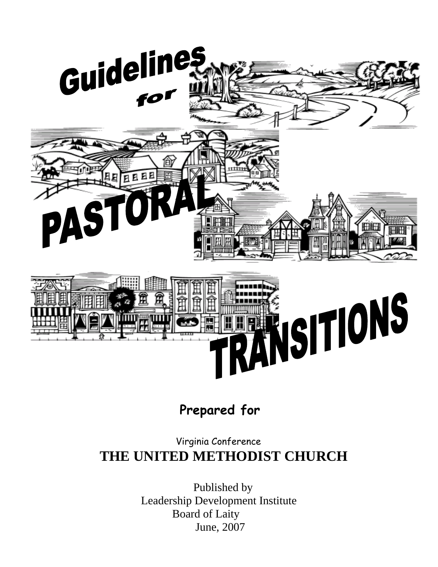

## **Prepared for**

## Virginia Conference  **THE UNITED METHODIST CHURCH**

 Published by Leadership Development Institute Board of Laity June, 2007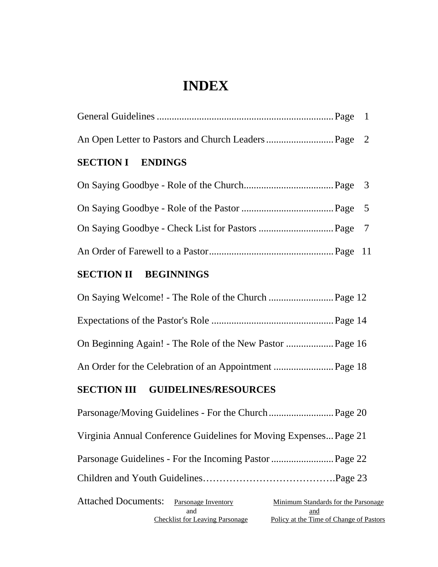## **INDEX**

| <b>SECTION I ENDINGS</b> |  |
|--------------------------|--|
|                          |  |
|                          |  |
|                          |  |
|                          |  |

## **SECTION II BEGINNINGS**

### **SECTION III GUIDELINES/RESOURCES**

| Virginia Annual Conference Guidelines for Moving Expenses Page 21                        |                                                                                       |
|------------------------------------------------------------------------------------------|---------------------------------------------------------------------------------------|
|                                                                                          |                                                                                       |
|                                                                                          |                                                                                       |
| Attached Documents: Parsonage Inventory<br>and<br><b>Checklist for Leaving Parsonage</b> | Minimum Standards for the Parsonage<br>and<br>Policy at the Time of Change of Pastors |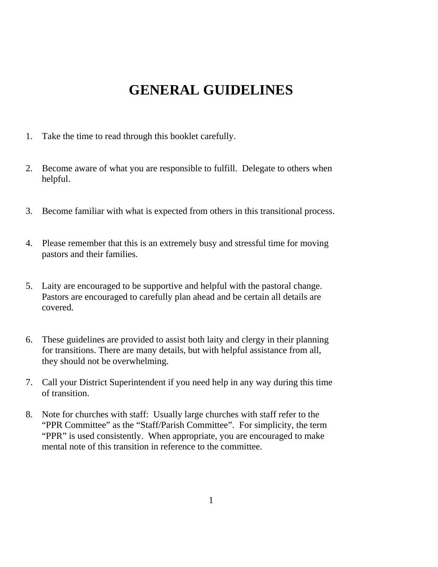## **GENERAL GUIDELINES**

- 1. Take the time to read through this booklet carefully.
- 2. Become aware of what you are responsible to fulfill. Delegate to others when helpful.
- 3. Become familiar with what is expected from others in this transitional process.
- 4. Please remember that this is an extremely busy and stressful time for moving pastors and their families.
- 5. Laity are encouraged to be supportive and helpful with the pastoral change. Pastors are encouraged to carefully plan ahead and be certain all details are covered.
- 6. These guidelines are provided to assist both laity and clergy in their planning for transitions. There are many details, but with helpful assistance from all, they should not be overwhelming.
- 7. Call your District Superintendent if you need help in any way during this time of transition.
- 8. Note for churches with staff: Usually large churches with staff refer to the "PPR Committee" as the "Staff/Parish Committee". For simplicity, the term "PPR" is used consistently. When appropriate, you are encouraged to make mental note of this transition in reference to the committee.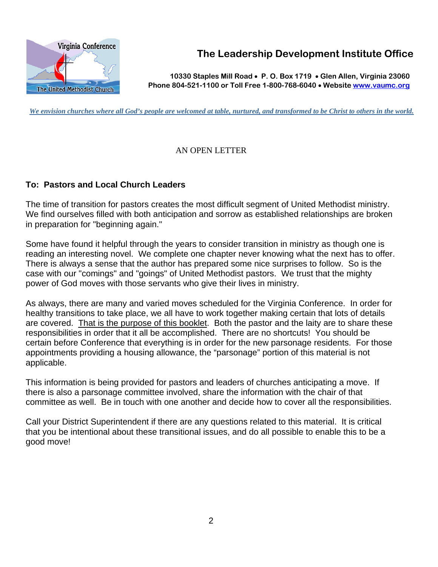

**The Leadership Development Institute Office**

**10330 Staples Mill Road** • **P. O. Box 1719** • **Glen Allen, Virginia 23060Phone 804-521-1100 or Toll Free 1-800-768-6040** • **Website www.vaumc.org**

*We envision churches where all God's people are welcomed at table, nurtured, and transformed to be Christ to others in the world.*

#### AN OPEN LETTER

#### **To: Pastors and Local Church Leaders**

The time of transition for pastors creates the most difficult segment of United Methodist ministry. We find ourselves filled with both anticipation and sorrow as established relationships are broken in preparation for "beginning again."

Some have found it helpful through the years to consider transition in ministry as though one is reading an interesting novel. We complete one chapter never knowing what the next has to offer. There is always a sense that the author has prepared some nice surprises to follow. So is the case with our "comings" and "goings" of United Methodist pastors. We trust that the mighty power of God moves with those servants who give their lives in ministry.

As always, there are many and varied moves scheduled for the Virginia Conference. In order for healthy transitions to take place, we all have to work together making certain that lots of details are covered. That is the purpose of this booklet. Both the pastor and the laity are to share these responsibilities in order that it all be accomplished. There are no shortcuts! You should be certain before Conference that everything is in order for the new parsonage residents. For those appointments providing a housing allowance, the "parsonage" portion of this material is not applicable.

This information is being provided for pastors and leaders of churches anticipating a move. If there is also a parsonage committee involved, share the information with the chair of that committee as well. Be in touch with one another and decide how to cover all the responsibilities.

Call your District Superintendent if there are any questions related to this material. It is critical that you be intentional about these transitional issues, and do all possible to enable this to be a good move!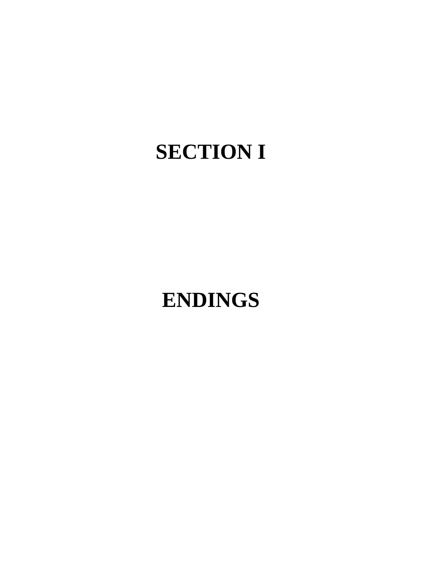# **SECTION I**

## **ENDINGS**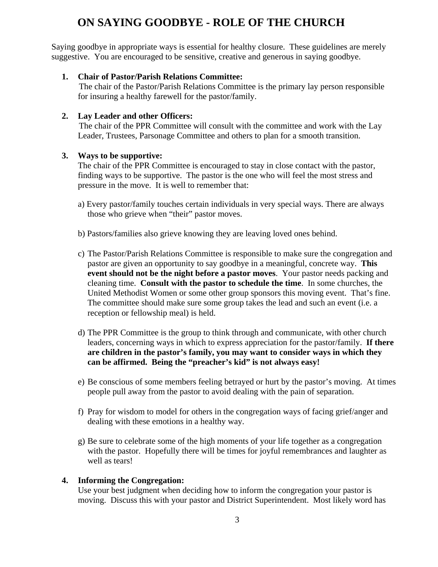## **ON SAYING GOODBYE - ROLE OF THE CHURCH**

 Saying goodbye in appropriate ways is essential for healthy closure. These guidelines are merely suggestive. You are encouraged to be sensitive, creative and generous in saying goodbye.

#### **1. Chair of Pastor/Parish Relations Committee:**

 The chair of the Pastor/Parish Relations Committee is the primary lay person responsible for insuring a healthy farewell for the pastor/family.

#### **2. Lay Leader and other Officers:**

 The chair of the PPR Committee will consult with the committee and work with the Lay Leader, Trustees, Parsonage Committee and others to plan for a smooth transition.

#### **3. Ways to be supportive:**

The chair of the PPR Committee is encouraged to stay in close contact with the pastor, finding ways to be supportive. The pastor is the one who will feel the most stress and pressure in the move. It is well to remember that:

- a) Every pastor/family touches certain individuals in very special ways. There are always those who grieve when "their" pastor moves.
- b) Pastors/families also grieve knowing they are leaving loved ones behind.
- c) The Pastor/Parish Relations Committee is responsible to make sure the congregation and pastor are given an opportunity to say goodbye in a meaningful, concrete way. **This event should not be the night before a pastor moves**. Your pastor needs packing and cleaning time. **Consult with the pastor to schedule the time**. In some churches, the United Methodist Women or some other group sponsors this moving event. That's fine. The committee should make sure some group takes the lead and such an event (i.e. a reception or fellowship meal) is held.
- d) The PPR Committee is the group to think through and communicate, with other church leaders, concerning ways in which to express appreciation for the pastor/family. **If there are children in the pastor's family, you may want to consider ways in which they can be affirmed. Being the "preacher's kid" is not always easy!**
- e) Be conscious of some members feeling betrayed or hurt by the pastor's moving. At times people pull away from the pastor to avoid dealing with the pain of separation.
- f) Pray for wisdom to model for others in the congregation ways of facing grief/anger and dealing with these emotions in a healthy way.
- g) Be sure to celebrate some of the high moments of your life together as a congregation with the pastor. Hopefully there will be times for joyful remembrances and laughter as well as tears!

#### **4. Informing the Congregation:**

Use your best judgment when deciding how to inform the congregation your pastor is moving. Discuss this with your pastor and District Superintendent. Most likely word has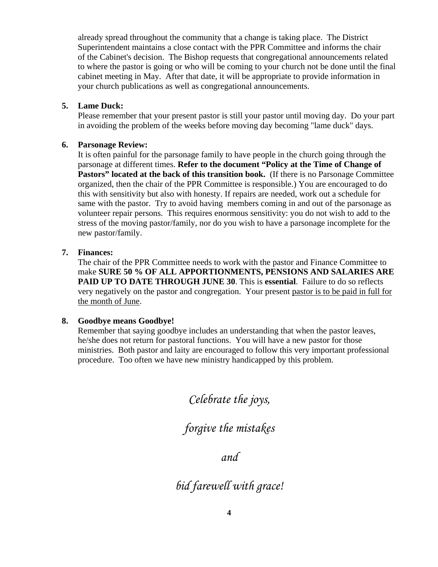already spread throughout the community that a change is taking place. The District Superintendent maintains a close contact with the PPR Committee and informs the chair of the Cabinet's decision. The Bishop requests that congregational announcements related to where the pastor is going or who will be coming to your church not be done until the final cabinet meeting in May. After that date, it will be appropriate to provide information in your church publications as well as congregational announcements.

#### **5. Lame Duck:**

Please remember that your present pastor is still your pastor until moving day. Do your part in avoiding the problem of the weeks before moving day becoming "lame duck" days.

#### **6. Parsonage Review:**

It is often painful for the parsonage family to have people in the church going through the parsonage at different times. **Refer to the document "Policy at the Time of Change of**  Pastors" located at the back of this transition book. (If there is no Parsonage Committee organized, then the chair of the PPR Committee is responsible.) You are encouraged to do this with sensitivity but also with honesty. If repairs are needed, work out a schedule for same with the pastor. Try to avoid having members coming in and out of the parsonage as volunteer repair persons. This requires enormous sensitivity: you do not wish to add to the stress of the moving pastor/family, nor do you wish to have a parsonage incomplete for the new pastor/family.

#### **7. Finances:**

The chair of the PPR Committee needs to work with the pastor and Finance Committee to make **SURE 50 % OF ALL APPORTIONMENTS, PENSIONS AND SALARIES ARE PAID UP TO DATE THROUGH JUNE 30**. This is **essential**. Failure to do so reflects very negatively on the pastor and congregation. Your present pastor is to be paid in full for the month of June.

#### **8. Goodbye means Goodbye!**

 Remember that saying goodbye includes an understanding that when the pastor leaves, he/she does not return for pastoral functions. You will have a new pastor for those ministries. Both pastor and laity are encouraged to follow this very important professional procedure. Too often we have new ministry handicapped by this problem.

*Celebrate the joys,* 

*forgive the mistakes* 

*and* 

*bid farewell with grace!*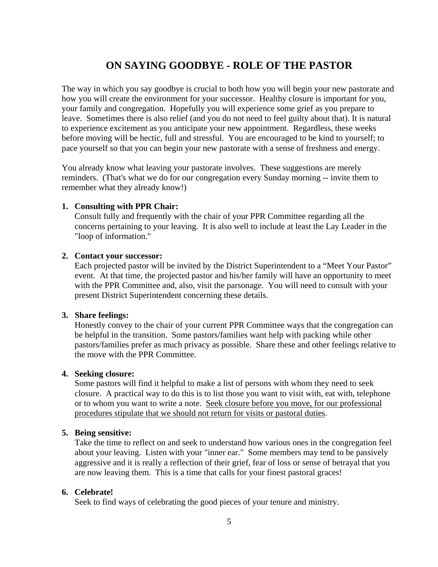### **ON SAYING GOODBYE - ROLE OF THE PASTOR**

The way in which you say goodbye is crucial to both how you will begin your new pastorate and how you will create the environment for your successor. Healthy closure is important for you, your family and congregation. Hopefully you will experience some grief as you prepare to leave. Sometimes there is also relief (and you do not need to feel guilty about that). It is natural to experience excitement as you anticipate your new appointment. Regardless, these weeks before moving will be hectic, full and stressful. You are encouraged to be kind to yourself; to pace yourself so that you can begin your new pastorate with a sense of freshness and energy.

You already know what leaving your pastorate involves. These suggestions are merely reminders. (That's what we do for our congregation every Sunday morning -- invite them to remember what they already know!)

#### **1. Consulting with PPR Chair:**

 Consult fully and frequently with the chair of your PPR Committee regarding all the concerns pertaining to your leaving. It is also well to include at least the Lay Leader in the "loop of information."

#### **2. Contact your successor:**

 Each projected pastor will be invited by the District Superintendent to a "Meet Your Pastor" event. At that time, the projected pastor and his/her family will have an opportunity to meet with the PPR Committee and, also, visit the parsonage. You will need to consult with your present District Superintendent concerning these details.

#### **3. Share feelings:**

Honestly convey to the chair of your current PPR Committee ways that the congregation can be helpful in the transition. Some pastors/families want help with packing while other pastors/families prefer as much privacy as possible. Share these and other feelings relative to the move with the PPR Committee.

#### **4. Seeking closure:**

Some pastors will find it helpful to make a list of persons with whom they need to seek closure. A practical way to do this is to list those you want to visit with, eat with, telephone or to whom you want to write a note. Seek closure before you move, for our professional procedures stipulate that we should not return for visits or pastoral duties.

#### **5. Being sensitive:**

Take the time to reflect on and seek to understand how various ones in the congregation feel about your leaving. Listen with your "inner ear." Some members may tend to be passively aggressive and it is really a reflection of their grief, fear of loss or sense of betrayal that you are now leaving them. This is a time that calls for your finest pastoral graces!

#### **6. Celebrate!**

Seek to find ways of celebrating the good pieces of your tenure and ministry.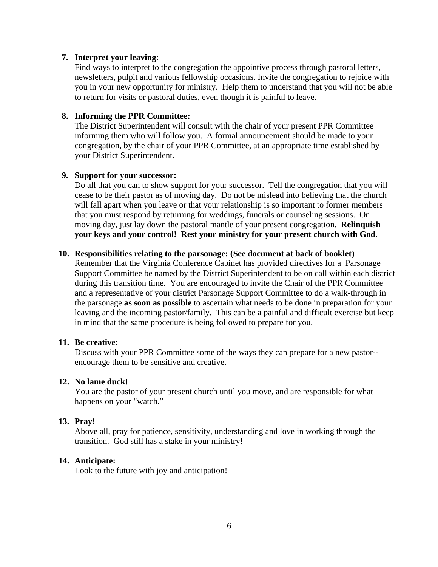#### **7. Interpret your leaving:**

Find ways to interpret to the congregation the appointive process through pastoral letters, newsletters, pulpit and various fellowship occasions. Invite the congregation to rejoice with you in your new opportunity for ministry. Help them to understand that you will not be able to return for visits or pastoral duties, even though it is painful to leave.

#### **8. Informing the PPR Committee:**

The District Superintendent will consult with the chair of your present PPR Committee informing them who will follow you. A formal announcement should be made to your congregation, by the chair of your PPR Committee, at an appropriate time established by your District Superintendent.

#### **9. Support for your successor:**

Do all that you can to show support for your successor. Tell the congregation that you will cease to be their pastor as of moving day. Do not be mislead into believing that the church will fall apart when you leave or that your relationship is so important to former members that you must respond by returning for weddings, funerals or counseling sessions. On moving day, just lay down the pastoral mantle of your present congregation. **Relinquish your keys and your control! Rest your ministry for your present church with God**.

#### **10. Responsibilities relating to the parsonage: (See document at back of booklet)**

Remember that the Virginia Conference Cabinet has provided directives for a Parsonage Support Committee be named by the District Superintendent to be on call within each district during this transition time. You are encouraged to invite the Chair of the PPR Committee and a representative of your district Parsonage Support Committee to do a walk-through in the parsonage **as soon as possible** to ascertain what needs to be done in preparation for your leaving and the incoming pastor/family. This can be a painful and difficult exercise but keep in mind that the same procedure is being followed to prepare for you.

#### **11. Be creative:**

Discuss with your PPR Committee some of the ways they can prepare for a new pastor- encourage them to be sensitive and creative.

#### **12. No lame duck!**

 You are the pastor of your present church until you move, and are responsible for what happens on your "watch."

#### **13. Pray!**

Above all, pray for patience, sensitivity, understanding and love in working through the transition. God still has a stake in your ministry!

#### **14. Anticipate:**

Look to the future with joy and anticipation!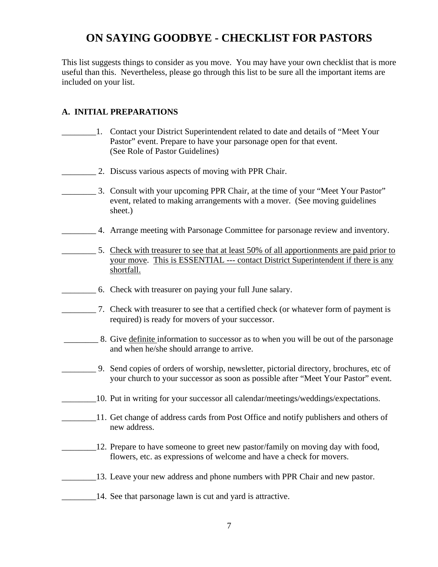## **ON SAYING GOODBYE - CHECKLIST FOR PASTORS**

This list suggests things to consider as you move. You may have your own checklist that is more useful than this. Nevertheless, please go through this list to be sure all the important items are included on your list.

#### **A. INITIAL PREPARATIONS**

- \_\_\_\_\_\_\_\_1. Contact your District Superintendent related to date and details of "Meet Your Pastor" event. Prepare to have your parsonage open for that event. (See Role of Pastor Guidelines)
- **2. Discuss various aspects of moving with PPR Chair.**
- \_\_\_\_\_\_\_\_ 3. Consult with your upcoming PPR Chair, at the time of your "Meet Your Pastor" event, related to making arrangements with a mover. (See moving guidelines sheet.)
- \_\_\_\_\_\_\_\_ 4. Arrange meeting with Parsonage Committee for parsonage review and inventory.
	- 5. Check with treasurer to see that at least 50% of all apportionments are paid prior to your move. This is ESSENTIAL --- contact District Superintendent if there is any shortfall.
- \_\_\_\_\_\_\_\_ 6. Check with treasurer on paying your full June salary.
	- \_\_\_\_\_\_\_\_ 7. Check with treasurer to see that a certified check (or whatever form of payment is required) is ready for movers of your successor.
	- \_\_\_\_\_\_\_\_ 8. Give definite information to successor as to when you will be out of the parsonage and when he/she should arrange to arrive.
	- \_\_\_\_\_\_\_\_ 9. Send copies of orders of worship, newsletter, pictorial directory, brochures, etc of your church to your successor as soon as possible after "Meet Your Pastor" event.
	- \_\_\_\_\_\_\_\_10. Put in writing for your successor all calendar/meetings/weddings/expectations.
	- 11. Get change of address cards from Post Office and notify publishers and others of new address.
	- <sup>12</sup>. Prepare to have someone to greet new pastor/family on moving day with food, flowers, etc. as expressions of welcome and have a check for movers.
	- \_\_\_\_\_\_\_\_13. Leave your new address and phone numbers with PPR Chair and new pastor.
	- **EXECUTE:** 14. See that parsonage lawn is cut and yard is attractive.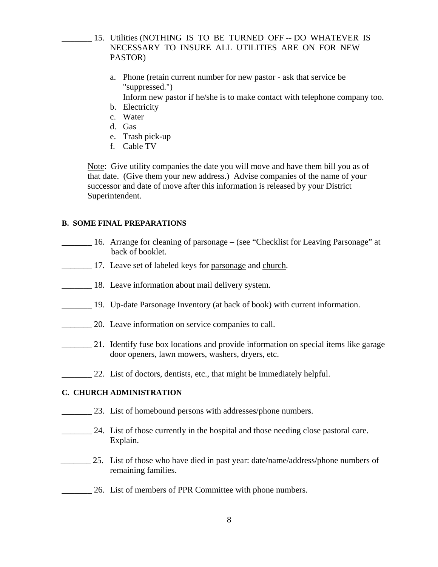- \_\_\_\_\_\_\_ 15. Utilities (NOTHING IS TO BE TURNED OFF -- DO WHATEVER IS NECESSARY TO INSURE ALL UTILITIES ARE ON FOR NEW PASTOR)
	- a. Phone (retain current number for new pastor ask that service be "suppressed.")

Inform new pastor if he/she is to make contact with telephone company too.

- b. Electricity
- c. Water
- d. Gas
- e. Trash pick-up
- f. Cable TV

Note: Give utility companies the date you will move and have them bill you as of that date. (Give them your new address.) Advise companies of the name of your successor and date of move after this information is released by your District Superintendent.

#### **B. SOME FINAL PREPARATIONS**

- \_\_\_\_\_\_\_ 16. Arrange for cleaning of parsonage (see "Checklist for Leaving Parsonage" at back of booklet.
	- 17. Leave set of labeled keys for parsonage and church.
- 18. Leave information about mail delivery system.
- 19. Up-date Parsonage Inventory (at back of book) with current information.
- 20. Leave information on service companies to call.
- 21. Identify fuse box locations and provide information on special items like garage door openers, lawn mowers, washers, dryers, etc.
	- 22. List of doctors, dentists, etc., that might be immediately helpful.

#### **C. CHURCH ADMINISTRATION**

- 23. List of homebound persons with addresses/phone numbers.
- \_\_\_\_\_\_\_ 24. List of those currently in the hospital and those needing close pastoral care. Explain.
- <sup>25</sup>. List of those who have died in past year: date/name/address/phone numbers of remaining families.
- \_\_\_\_\_\_\_ 26. List of members of PPR Committee with phone numbers.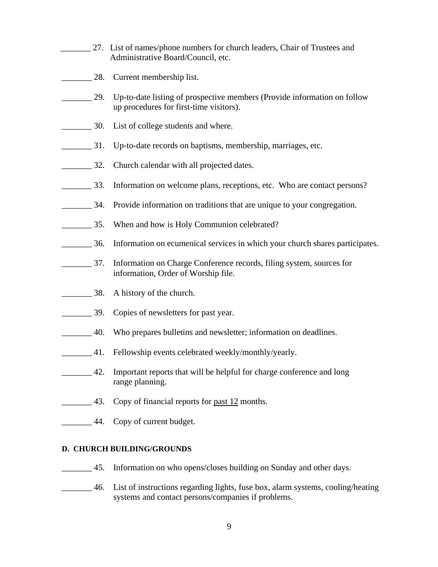- 27. List of names/phone numbers for church leaders, Chair of Trustees and Administrative Board/Council, etc.
- **EXECUTE:** 28. Current membership list.
- \_\_\_\_\_\_\_ 29. Up-to-date listing of prospective members (Provide information on follow up procedures for first-time visitors).
- **EXECUTE:** 30. List of college students and where.
- \_\_\_\_\_\_\_ 31. Up-to-date records on baptisms, membership, marriages, etc.
- **EXECUTE:** 32. Church calendar with all projected dates.
- \_\_\_\_\_\_\_ 33. Information on welcome plans, receptions, etc. Who are contact persons?
- 24. Provide information on traditions that are unique to your congregation.
- **EXECUTE:** 35. When and how is Holy Communion celebrated?
- \_\_\_\_\_\_\_ 36. Information on ecumenical services in which your church shares participates.
- \_\_\_\_\_\_\_ 37. Information on Charge Conference records, filing system, sources for information, Order of Worship file.
- **EXECUTE:** 38. A history of the church.
- **EXECUTE:** 39. Copies of newsletters for past year.
- \_\_\_\_\_\_\_ 40. Who prepares bulletins and newsletter; information on deadlines.
- **1.** Fellowship events celebrated weekly/monthly/yearly.
- <sup>1</sup>/<sub>2</sub> =  $\frac{42}{\pi}$  Important reports that will be helpful for charge conference and long range planning.
- 43. Copy of financial reports for past 12 months.
- **EXECUTE:** 44. Copy of current budget.

#### **D. CHURCH BUILDING/GROUNDS**

- **\_\_\_\_\_\_** 45. Information on who opens/closes building on Sunday and other days.
- \_\_\_\_\_\_\_ 46. List of instructions regarding lights, fuse box, alarm systems, cooling/heating systems and contact persons/companies if problems.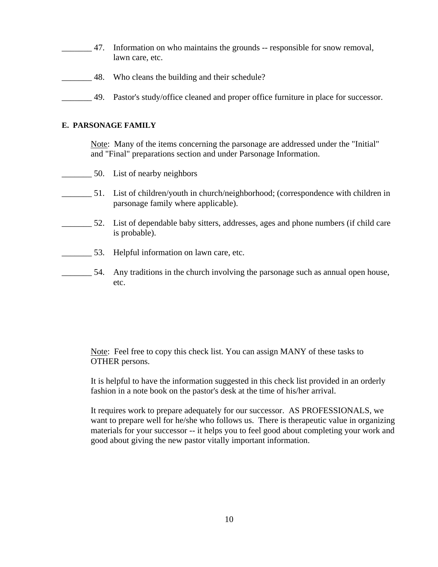- \_\_\_\_\_\_\_ 47. Information on who maintains the grounds -- responsible for snow removal, lawn care, etc.
- \_\_\_\_\_\_\_ 48. Who cleans the building and their schedule?
- **EXECUTE:** 49. Pastor's study/office cleaned and proper office furniture in place for successor.

#### **E. PARSONAGE FAMILY**

Note: Many of the items concerning the parsonage are addressed under the "Initial" and "Final" preparations section and under Parsonage Information.

- 50. List of nearby neighbors
- \_\_\_\_\_\_\_ 51. List of children/youth in church/neighborhood; (correspondence with children in parsonage family where applicable).
- \_\_\_\_\_\_\_ 52. List of dependable baby sitters, addresses, ages and phone numbers (if child care is probable).
- \_\_\_\_\_\_\_ 53. Helpful information on lawn care, etc.
- 54. Any traditions in the church involving the parsonage such as annual open house, etc.

Note: Feel free to copy this check list. You can assign MANY of these tasks to OTHER persons.

It is helpful to have the information suggested in this check list provided in an orderly fashion in a note book on the pastor's desk at the time of his/her arrival.

It requires work to prepare adequately for our successor. AS PROFESSIONALS, we want to prepare well for he/she who follows us. There is therapeutic value in organizing materials for your successor -- it helps you to feel good about completing your work and good about giving the new pastor vitally important information.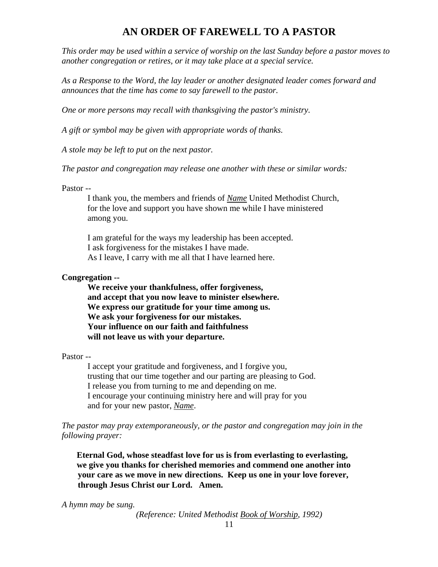### **AN ORDER OF FAREWELL TO A PASTOR**

*This order may be used within a service of worship on the last Sunday before a pastor moves to another congregation or retires, or it may take place at a special service.* 

*As a Response to the Word, the lay leader or another designated leader comes forward and announces that the time has come to say farewell to the pastor.* 

*One or more persons may recall with thanksgiving the pastor's ministry.* 

*A gift or symbol may be given with appropriate words of thanks.* 

*A stole may be left to put on the next pastor.*

*The pastor and congregation may release one another with these or similar words:* 

Pastor --

 I thank you, the members and friends of *Name* United Methodist Church, for the love and support you have shown me while I have ministered among you.

 I am grateful for the ways my leadership has been accepted. I ask forgiveness for the mistakes I have made. As I leave, I carry with me all that I have learned here.

#### **Congregation --**

 **We receive your thankfulness, offer forgiveness, and accept that you now leave to minister elsewhere. We express our gratitude for your time among us. We ask your forgiveness for our mistakes. Your influence on our faith and faithfulness will not leave us with your departure.** 

Pastor --

 I accept your gratitude and forgiveness, and I forgive you, trusting that our time together and our parting are pleasing to God. I release you from turning to me and depending on me. I encourage your continuing ministry here and will pray for you and for your new pastor, *Name*.

*The pastor may pray extemporaneously, or the pastor and congregation may join in the following prayer:* 

 **Eternal God, whose steadfast love for us is from everlasting to everlasting, we give you thanks for cherished memories and commend one another into your care as we move in new directions. Keep us one in your love forever, through Jesus Christ our Lord. Amen.** 

*A hymn may be sung.* 

*(Reference: United Methodist Book of Worship, 1992)*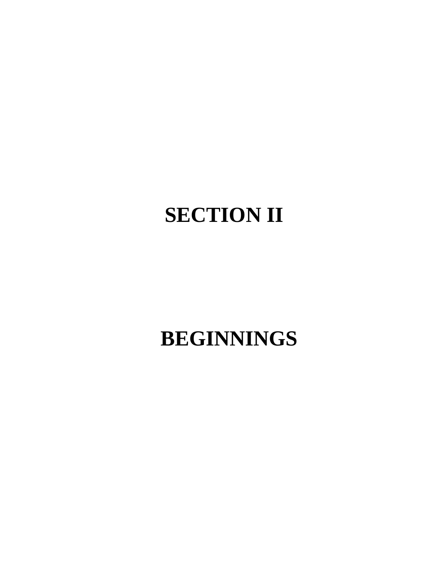# **SECTION II**

# **BEGINNINGS**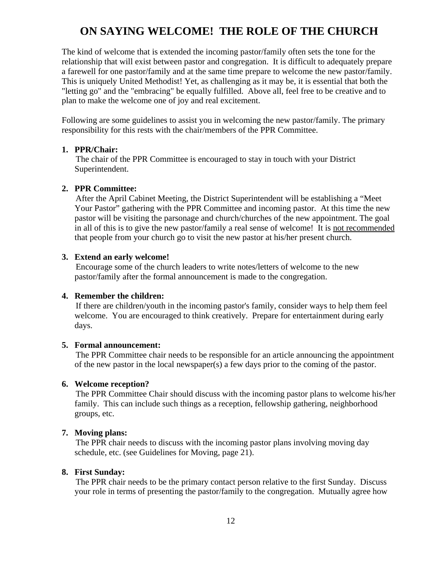### **ON SAYING WELCOME! THE ROLE OF THE CHURCH**

The kind of welcome that is extended the incoming pastor/family often sets the tone for the relationship that will exist between pastor and congregation. It is difficult to adequately prepare a farewell for one pastor/family and at the same time prepare to welcome the new pastor/family. This is uniquely United Methodist! Yet, as challenging as it may be, it is essential that both the "letting go" and the "embracing" be equally fulfilled. Above all, feel free to be creative and to plan to make the welcome one of joy and real excitement.

Following are some guidelines to assist you in welcoming the new pastor/family. The primary responsibility for this rests with the chair/members of the PPR Committee.

#### **1. PPR/Chair:**

 The chair of the PPR Committee is encouraged to stay in touch with your District Superintendent.

#### **2. PPR Committee:**

 After the April Cabinet Meeting, the District Superintendent will be establishing a "Meet Your Pastor" gathering with the PPR Committee and incoming pastor. At this time the new pastor will be visiting the parsonage and church/churches of the new appointment. The goal in all of this is to give the new pastor/family a real sense of welcome! It is not recommended that people from your church go to visit the new pastor at his/her present church.

#### **3. Extend an early welcome!**

 Encourage some of the church leaders to write notes/letters of welcome to the new pastor/family after the formal announcement is made to the congregation.

#### **4. Remember the children:**

 If there are children/youth in the incoming pastor's family, consider ways to help them feel welcome. You are encouraged to think creatively. Prepare for entertainment during early days.

#### **5. Formal announcement:**

 The PPR Committee chair needs to be responsible for an article announcing the appointment of the new pastor in the local newspaper(s) a few days prior to the coming of the pastor.

#### **6. Welcome reception?**

 The PPR Committee Chair should discuss with the incoming pastor plans to welcome his/her family. This can include such things as a reception, fellowship gathering, neighborhood groups, etc.

#### **7. Moving plans:**

 The PPR chair needs to discuss with the incoming pastor plans involving moving day schedule, etc. (see Guidelines for Moving, page 21).

#### **8. First Sunday:**

 The PPR chair needs to be the primary contact person relative to the first Sunday. Discuss your role in terms of presenting the pastor/family to the congregation. Mutually agree how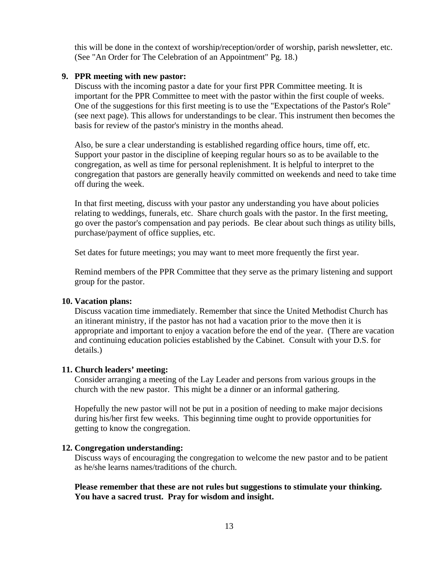this will be done in the context of worship/reception/order of worship, parish newsletter, etc. (See "An Order for The Celebration of an Appointment" Pg. 18.)

#### **9. PPR meeting with new pastor:**

 Discuss with the incoming pastor a date for your first PPR Committee meeting. It is important for the PPR Committee to meet with the pastor within the first couple of weeks. One of the suggestions for this first meeting is to use the "Expectations of the Pastor's Role" (see next page). This allows for understandings to be clear. This instrument then becomes the basis for review of the pastor's ministry in the months ahead.

 Also, be sure a clear understanding is established regarding office hours, time off, etc. Support your pastor in the discipline of keeping regular hours so as to be available to the congregation, as well as time for personal replenishment. It is helpful to interpret to the congregation that pastors are generally heavily committed on weekends and need to take time off during the week.

 In that first meeting, discuss with your pastor any understanding you have about policies relating to weddings, funerals, etc. Share church goals with the pastor. In the first meeting, go over the pastor's compensation and pay periods. Be clear about such things as utility bills, purchase/payment of office supplies, etc.

Set dates for future meetings; you may want to meet more frequently the first year.

 Remind members of the PPR Committee that they serve as the primary listening and support group for the pastor.

#### **10. Vacation plans:**

 Discuss vacation time immediately. Remember that since the United Methodist Church has an itinerant ministry, if the pastor has not had a vacation prior to the move then it is appropriate and important to enjoy a vacation before the end of the year. (There are vacation and continuing education policies established by the Cabinet. Consult with your D.S. for details.)

#### **11. Church leaders' meeting:**

 Consider arranging a meeting of the Lay Leader and persons from various groups in the church with the new pastor. This might be a dinner or an informal gathering.

 Hopefully the new pastor will not be put in a position of needing to make major decisions during his/her first few weeks. This beginning time ought to provide opportunities for getting to know the congregation.

#### **12. Congregation understanding:**

 Discuss ways of encouraging the congregation to welcome the new pastor and to be patient as he/she learns names/traditions of the church.

 **Please remember that these are not rules but suggestions to stimulate your thinking. You have a sacred trust. Pray for wisdom and insight.**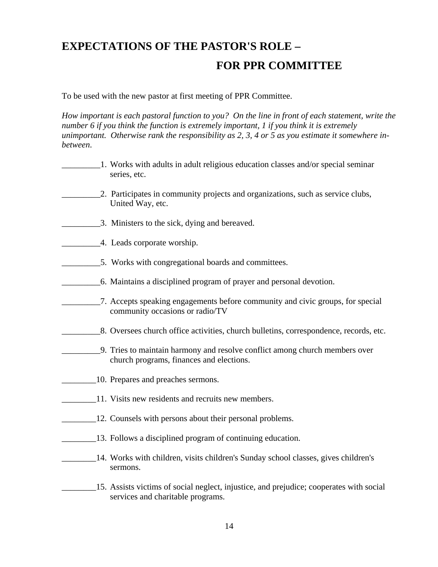## **EXPECTATIONS OF THE PASTOR'S ROLE – FOR PPR COMMITTEE**

To be used with the new pastor at first meeting of PPR Committee.

*How important is each pastoral function to you? On the line in front of each statement, write the number 6 if you think the function is extremely important, 1 if you think it is extremely unimportant. Otherwise rank the responsibility as 2, 3, 4 or 5 as you estimate it somewhere inbetween*.

- \_\_\_\_\_\_\_\_\_1. Works with adults in adult religious education classes and/or special seminar series, etc. 2. Participates in community projects and organizations, such as service clubs, United Way, etc. \_\_\_\_\_\_\_\_\_3. Ministers to the sick, dying and bereaved. **EXECUTE:** 4. Leads corporate worship. \_\_\_\_\_\_\_\_\_5. Works with congregational boards and committees. \_\_\_\_\_\_\_\_\_6. Maintains a disciplined program of prayer and personal devotion. \_\_\_\_\_\_\_\_\_7. Accepts speaking engagements before community and civic groups, for special community occasions or radio/TV \_\_\_\_\_\_\_\_\_8. Oversees church office activities, church bulletins, correspondence, records, etc. \_\_\_\_\_\_\_\_\_9. Tries to maintain harmony and resolve conflict among church members over church programs, finances and elections. \_\_\_\_\_\_\_\_10. Prepares and preaches sermons. 11. Visits new residents and recruits new members.
- 12. Counsels with persons about their personal problems.
- 13. Follows a disciplined program of continuing education.
	- \_\_\_\_\_\_\_\_14. Works with children, visits children's Sunday school classes, gives children's sermons.

\_\_\_\_\_\_\_\_15. Assists victims of social neglect, injustice, and prejudice; cooperates with social services and charitable programs.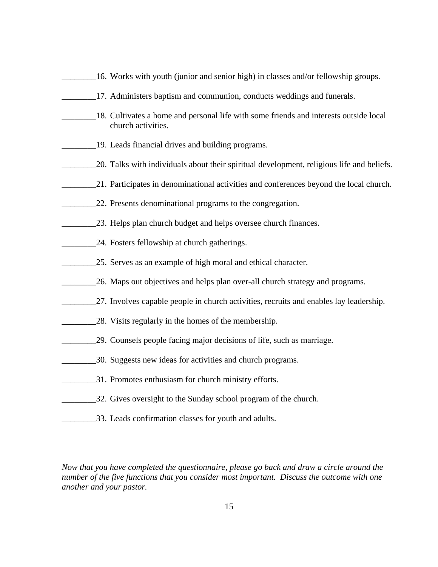- \_\_\_\_\_\_\_\_16. Works with youth (junior and senior high) in classes and/or fellowship groups.
- \_\_\_\_\_\_\_\_17. Administers baptism and communion, conducts weddings and funerals.
- \_\_\_\_\_\_\_\_18. Cultivates a home and personal life with some friends and interests outside local church activities.
- \_\_\_\_\_\_\_\_19. Leads financial drives and building programs.
- \_\_\_\_\_\_\_\_20. Talks with individuals about their spiritual development, religious life and beliefs.
- \_\_\_\_\_\_\_\_21. Participates in denominational activities and conferences beyond the local church.
- 22. Presents denominational programs to the congregation.
- \_\_\_\_\_\_\_\_23. Helps plan church budget and helps oversee church finances.
- 24. Fosters fellowship at church gatherings.
- 25. Serves as an example of high moral and ethical character.
- 26. Maps out objectives and helps plan over-all church strategy and programs.
- 27. Involves capable people in church activities, recruits and enables lay leadership.
- \_\_\_\_\_\_\_\_28. Visits regularly in the homes of the membership.
- \_\_\_\_\_\_\_\_29. Counsels people facing major decisions of life, such as marriage.
- \_\_\_\_\_\_\_\_30. Suggests new ideas for activities and church programs.
- 31. Promotes enthusiasm for church ministry efforts.
- \_\_\_\_\_\_\_\_32. Gives oversight to the Sunday school program of the church.
- \_\_\_\_\_\_\_\_33. Leads confirmation classes for youth and adults.

*Now that you have completed the questionnaire, please go back and draw a circle around the number of the five functions that you consider most important. Discuss the outcome with one another and your pastor.*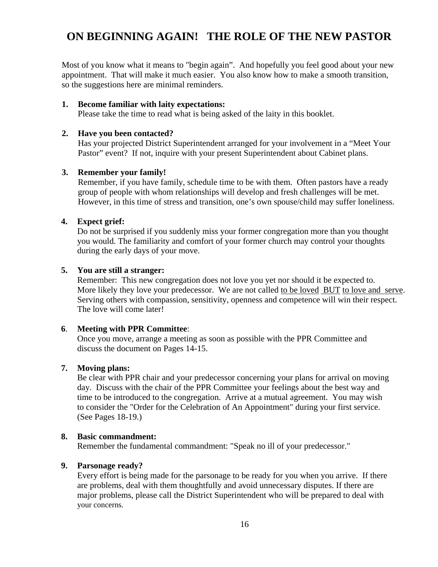## **ON BEGINNING AGAIN! THE ROLE OF THE NEW PASTOR**

Most of you know what it means to "begin again". And hopefully you feel good about your new appointment. That will make it much easier. You also know how to make a smooth transition, so the suggestions here are minimal reminders.

#### **1. Become familiar with laity expectations:**

Please take the time to read what is being asked of the laity in this booklet.

#### **2. Have you been contacted?**

Has your projected District Superintendent arranged for your involvement in a "Meet Your Pastor" event? If not, inquire with your present Superintendent about Cabinet plans.

#### **3. Remember your family!**

Remember, if you have family, schedule time to be with them. Often pastors have a ready group of people with whom relationships will develop and fresh challenges will be met. However, in this time of stress and transition, one's own spouse/child may suffer loneliness.

#### **4. Expect grief:**

Do not be surprised if you suddenly miss your former congregation more than you thought you would. The familiarity and comfort of your former church may control your thoughts during the early days of your move.

#### **5. You are still a stranger:**

Remember: This new congregation does not love you yet nor should it be expected to. More likely they love your predecessor. We are not called to be loved BUT to love and serve. Serving others with compassion, sensitivity, openness and competence will win their respect. The love will come later!

#### **6**. **Meeting with PPR Committee**:

Once you move, arrange a meeting as soon as possible with the PPR Committee and discuss the document on Pages 14-15.

#### **7. Moving plans:**

Be clear with PPR chair and your predecessor concerning your plans for arrival on moving day. Discuss with the chair of the PPR Committee your feelings about the best way and time to be introduced to the congregation. Arrive at a mutual agreement. You may wish to consider the "Order for the Celebration of An Appointment" during your first service. (See Pages 18-19.)

#### **8. Basic commandment:**

Remember the fundamental commandment: "Speak no ill of your predecessor."

#### **9. Parsonage ready?**

Every effort is being made for the parsonage to be ready for you when you arrive. If there are problems, deal with them thoughtfully and avoid unnecessary disputes. If there are major problems, please call the District Superintendent who will be prepared to deal with your concerns.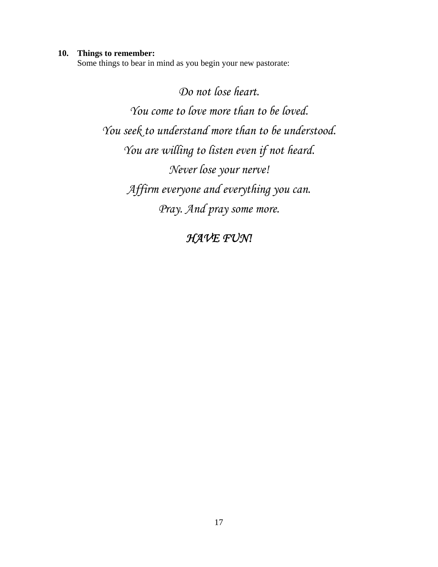#### **10. Things to remember:**

Some things to bear in mind as you begin your new pastorate:

*Do not lose heart. You come to love more than to be loved. You seek to understand more than to be understood. You are willing to listen even if not heard. Never lose your nerve! Affirm everyone and everything you can. Pray. And pray some more.* 

### *HAVE FUN!*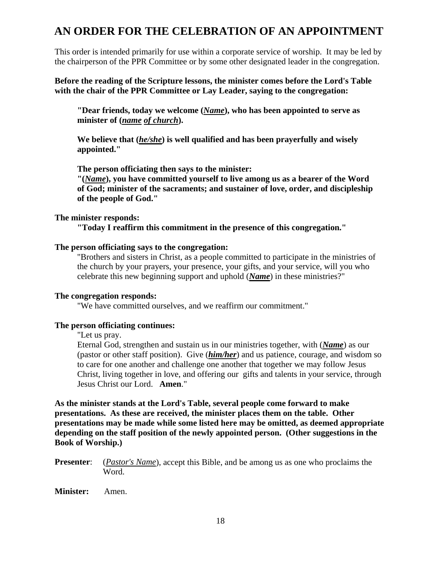### **AN ORDER FOR THE CELEBRATION OF AN APPOINTMENT**

This order is intended primarily for use within a corporate service of worship. It may be led by the chairperson of the PPR Committee or by some other designated leader in the congregation.

**Before the reading of the Scripture lessons, the minister comes before the Lord's Table with the chair of the PPR Committee or Lay Leader, saying to the congregation:** 

 **"Dear friends, today we welcome (***Name***), who has been appointed to serve as minister of (***name of church***).** 

 **We believe that (***he/she***) is well qualified and has been prayerfully and wisely appointed."** 

**The person officiating then says to the minister:** 

 **"(***Name***), you have committed yourself to live among us as a bearer of the Word of God; minister of the sacraments; and sustainer of love, order, and discipleship of the people of God."** 

#### **The minister responds:**

 **"Today I reaffirm this commitment in the presence of this congregation."** 

#### **The person officiating says to the congregation:**

 "Brothers and sisters in Christ, as a people committed to participate in the ministries of the church by your prayers, your presence, your gifts, and your service, will you who celebrate this new beginning support and uphold (*Name*) in these ministries?"

#### **The congregation responds:**

"We have committed ourselves, and we reaffirm our commitment."

#### **The person officiating continues:**

"Let us pray.

 Eternal God, strengthen and sustain us in our ministries together, with (*Name*) as our (pastor or other staff position). Give (*him/her*) and us patience, courage, and wisdom so to care for one another and challenge one another that together we may follow Jesus Christ, living together in love, and offering our gifts and talents in your service, through Jesus Christ our Lord. **Amen**."

**As the minister stands at the Lord's Table, several people come forward to make presentations. As these are received, the minister places them on the table. Other presentations may be made while some listed here may be omitted, as deemed appropriate depending on the staff position of the newly appointed person. (Other suggestions in the Book of Worship.)** 

**Presenter**: (*Pastor's Name*), accept this Bible, and be among us as one who proclaims the Word.

#### **Minister:** Amen.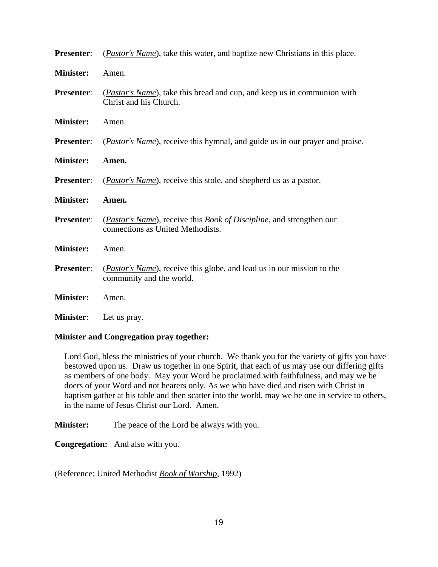| <b>Presenter:</b> | (Pastor's Name), take this water, and baptize new Christians in this place.                                                |
|-------------------|----------------------------------------------------------------------------------------------------------------------------|
| <b>Minister:</b>  | Amen.                                                                                                                      |
| <b>Presenter:</b> | ( <i>Pastor's Name</i> ), take this bread and cup, and keep us in communion with<br>Christ and his Church.                 |
| <b>Minister:</b>  | Amen.                                                                                                                      |
| <b>Presenter:</b> | ( <i>Pastor's Name</i> ), receive this hymnal, and guide us in our prayer and praise.                                      |
| <b>Minister:</b>  | Amen.                                                                                                                      |
| <b>Presenter:</b> | ( <i>Pastor's Name</i> ), receive this stole, and shepherd us as a pastor.                                                 |
| <b>Minister:</b>  | Amen.                                                                                                                      |
| Presenter:        | ( <i>Pastor's Name</i> ), receive this <i>Book of Discipline</i> , and strengthen our<br>connections as United Methodists. |
| <b>Minister:</b>  | Amen.                                                                                                                      |
| <b>Presenter:</b> | ( <i>Pastor's Name</i> ), receive this globe, and lead us in our mission to the                                            |
|                   | community and the world.                                                                                                   |
| <b>Minister:</b>  | Amen.                                                                                                                      |

#### **Minister and Congregation pray together:**

Lord God, bless the ministries of your church. We thank you for the variety of gifts you have bestowed upon us. Draw us together in one Spirit, that each of us may use our differing gifts as members of one body. May your Word be proclaimed with faithfulness, and may we be doers of your Word and not hearers only. As we who have died and risen with Christ in baptism gather at his table and then scatter into the world, may we be one in service to others, in the name of Jesus Christ our Lord. Amen.

**Minister:** The peace of the Lord be always with you.

**Congregation:** And also with you.

(Reference: United Methodist *Book of Worship*, 1992)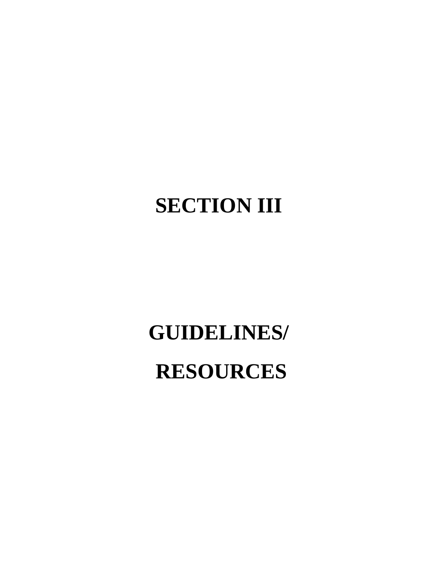# **SECTION III**

# **GUIDELINES/**

# **RESOURCES**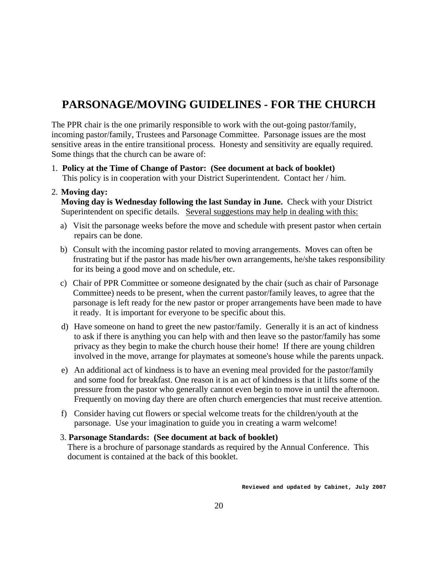### **PARSONAGE/MOVING GUIDELINES - FOR THE CHURCH**

The PPR chair is the one primarily responsible to work with the out-going pastor/family, incoming pastor/family, Trustees and Parsonage Committee. Parsonage issues are the most sensitive areas in the entire transitional process. Honesty and sensitivity are equally required. Some things that the church can be aware of:

1. **Policy at the Time of Change of Pastor: (See document at back of booklet)** This policy is in cooperation with your District Superintendent. Contact her / him.

#### 2. **Moving day:**

**Moving day is Wednesday following the last Sunday in June.** Check with your District Superintendent on specific details. Several suggestions may help in dealing with this:

- a) Visit the parsonage weeks before the move and schedule with present pastor when certain repairs can be done.
- b) Consult with the incoming pastor related to moving arrangements. Moves can often be frustrating but if the pastor has made his/her own arrangements, he/she takes responsibility for its being a good move and on schedule, etc.
- c) Chair of PPR Committee or someone designated by the chair (such as chair of Parsonage Committee) needs to be present, when the current pastor/family leaves, to agree that the parsonage is left ready for the new pastor or proper arrangements have been made to have it ready. It is important for everyone to be specific about this.
- d) Have someone on hand to greet the new pastor/family. Generally it is an act of kindness to ask if there is anything you can help with and then leave so the pastor/family has some privacy as they begin to make the church house their home! If there are young children involved in the move, arrange for playmates at someone's house while the parents unpack.
- e) An additional act of kindness is to have an evening meal provided for the pastor/family and some food for breakfast. One reason it is an act of kindness is that it lifts some of the pressure from the pastor who generally cannot even begin to move in until the afternoon. Frequently on moving day there are often church emergencies that must receive attention.
- f) Consider having cut flowers or special welcome treats for the children/youth at the parsonage. Use your imagination to guide you in creating a warm welcome!

#### 3. **Parsonage Standards: (See document at back of booklet)**

 There is a brochure of parsonage standards as required by the Annual Conference. This document is contained at the back of this booklet.

**Reviewed and updated by Cabinet, July 2007**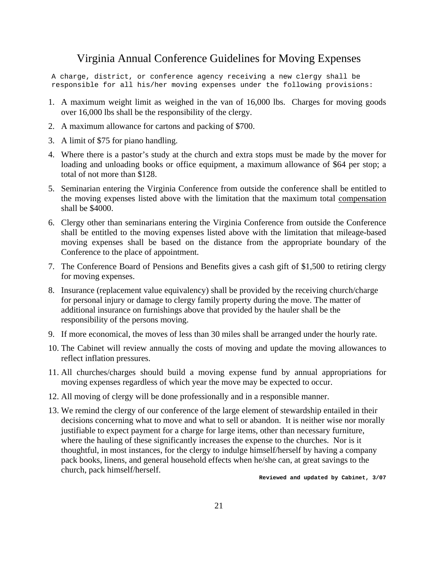### Virginia Annual Conference Guidelines for Moving Expenses

A charge, district, or conference agency receiving a new clergy shall be responsible for all his/her moving expenses under the following provisions:

- 1. A maximum weight limit as weighed in the van of 16,000 lbs. Charges for moving goods over 16,000 lbs shall be the responsibility of the clergy.
- 2. A maximum allowance for cartons and packing of \$700.
- 3. A limit of \$75 for piano handling.
- 4. Where there is a pastor's study at the church and extra stops must be made by the mover for loading and unloading books or office equipment, a maximum allowance of \$64 per stop; a total of not more than \$128.
- 5. Seminarian entering the Virginia Conference from outside the conference shall be entitled to the moving expenses listed above with the limitation that the maximum total compensation shall be \$4000.
- 6. Clergy other than seminarians entering the Virginia Conference from outside the Conference shall be entitled to the moving expenses listed above with the limitation that mileage-based moving expenses shall be based on the distance from the appropriate boundary of the Conference to the place of appointment.
- 7. The Conference Board of Pensions and Benefits gives a cash gift of \$1,500 to retiring clergy for moving expenses.
- 8. Insurance (replacement value equivalency) shall be provided by the receiving church/charge for personal injury or damage to clergy family property during the move. The matter of additional insurance on furnishings above that provided by the hauler shall be the responsibility of the persons moving.
- 9. If more economical, the moves of less than 30 miles shall be arranged under the hourly rate.
- 10. The Cabinet will review annually the costs of moving and update the moving allowances to reflect inflation pressures.
- 11. All churches/charges should build a moving expense fund by annual appropriations for moving expenses regardless of which year the move may be expected to occur.
- 12. All moving of clergy will be done professionally and in a responsible manner.
- 13. We remind the clergy of our conference of the large element of stewardship entailed in their decisions concerning what to move and what to sell or abandon. It is neither wise nor morally justifiable to expect payment for a charge for large items, other than necessary furniture, where the hauling of these significantly increases the expense to the churches. Nor is it thoughtful, in most instances, for the clergy to indulge himself/herself by having a company pack books, linens, and general household effects when he/she can, at great savings to the church, pack himself/herself.

**Reviewed and updated by Cabinet, 3/07**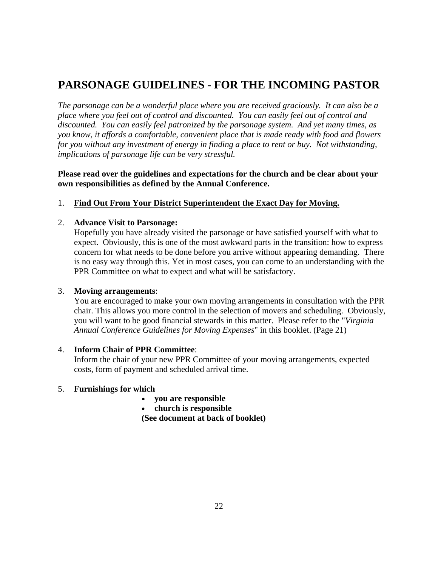## **PARSONAGE GUIDELINES - FOR THE INCOMING PASTOR**

*The parsonage can be a wonderful place where you are received graciously. It can also be a place where you feel out of control and discounted. You can easily feel out of control and discounted. You can easily feel patronized by the parsonage system. And yet many times, as you know, it affords a comfortable, convenient place that is made ready with food and flowers for you without any investment of energy in finding a place to rent or buy. Not withstanding, implications of parsonage life can be very stressful.* 

**Please read over the guidelines and expectations for the church and be clear about your own responsibilities as defined by the Annual Conference.**

#### 1. **Find Out From Your District Superintendent the Exact Day for Moving.**

#### 2. **Advance Visit to Parsonage:**

Hopefully you have already visited the parsonage or have satisfied yourself with what to expect. Obviously, this is one of the most awkward parts in the transition: how to express concern for what needs to be done before you arrive without appearing demanding. There is no easy way through this. Yet in most cases, you can come to an understanding with the PPR Committee on what to expect and what will be satisfactory.

#### 3. **Moving arrangements**:

You are encouraged to make your own moving arrangements in consultation with the PPR chair. This allows you more control in the selection of movers and scheduling. Obviously, you will want to be good financial stewards in this matter. Please refer to the "*Virginia Annual Conference Guidelines for Moving Expenses*" in this booklet. (Page 21)

#### 4. **Inform Chair of PPR Committee**:

Inform the chair of your new PPR Committee of your moving arrangements, expected costs, form of payment and scheduled arrival time.

#### 5. **Furnishings for which**

- **you are responsible**
- **church is responsible**

**(See document at back of booklet)**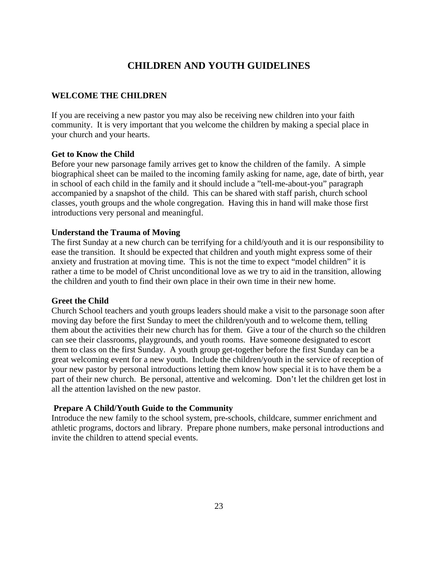#### **CHILDREN AND YOUTH GUIDELINES**

#### **WELCOME THE CHILDREN**

If you are receiving a new pastor you may also be receiving new children into your faith community. It is very important that you welcome the children by making a special place in your church and your hearts.

#### **Get to Know the Child**

Before your new parsonage family arrives get to know the children of the family. A simple biographical sheet can be mailed to the incoming family asking for name, age, date of birth, year in school of each child in the family and it should include a "tell-me-about-you" paragraph accompanied by a snapshot of the child. This can be shared with staff parish, church school classes, youth groups and the whole congregation. Having this in hand will make those first introductions very personal and meaningful.

#### **Understand the Trauma of Moving**

The first Sunday at a new church can be terrifying for a child/youth and it is our responsibility to ease the transition. It should be expected that children and youth might express some of their anxiety and frustration at moving time. This is not the time to expect "model children" it is rather a time to be model of Christ unconditional love as we try to aid in the transition, allowing the children and youth to find their own place in their own time in their new home.

#### **Greet the Child**

Church School teachers and youth groups leaders should make a visit to the parsonage soon after moving day before the first Sunday to meet the children/youth and to welcome them, telling them about the activities their new church has for them. Give a tour of the church so the children can see their classrooms, playgrounds, and youth rooms. Have someone designated to escort them to class on the first Sunday. A youth group get-together before the first Sunday can be a great welcoming event for a new youth. Include the children/youth in the service of reception of your new pastor by personal introductions letting them know how special it is to have them be a part of their new church. Be personal, attentive and welcoming. Don't let the children get lost in all the attention lavished on the new pastor.

#### **Prepare A Child/Youth Guide to the Community**

Introduce the new family to the school system, pre-schools, childcare, summer enrichment and athletic programs, doctors and library. Prepare phone numbers, make personal introductions and invite the children to attend special events.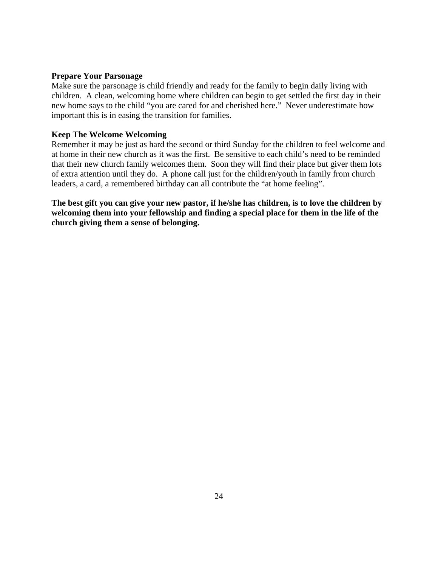#### **Prepare Your Parsonage**

Make sure the parsonage is child friendly and ready for the family to begin daily living with children. A clean, welcoming home where children can begin to get settled the first day in their new home says to the child "you are cared for and cherished here." Never underestimate how important this is in easing the transition for families.

#### **Keep The Welcome Welcoming**

Remember it may be just as hard the second or third Sunday for the children to feel welcome and at home in their new church as it was the first. Be sensitive to each child's need to be reminded that their new church family welcomes them. Soon they will find their place but giver them lots of extra attention until they do. A phone call just for the children/youth in family from church leaders, a card, a remembered birthday can all contribute the "at home feeling".

**The best gift you can give your new pastor, if he/she has children, is to love the children by welcoming them into your fellowship and finding a special place for them in the life of the church giving them a sense of belonging.**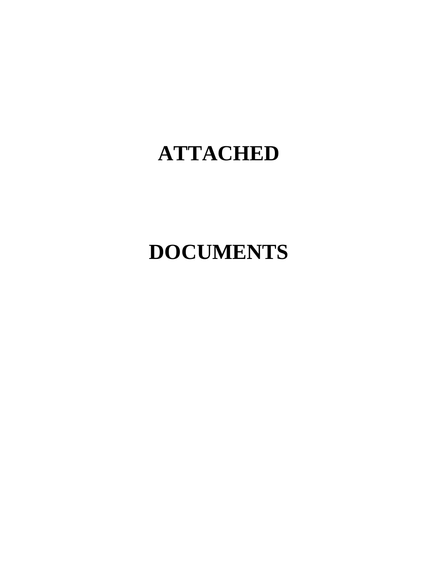# **ATTACHED**

# **DOCUMENTS**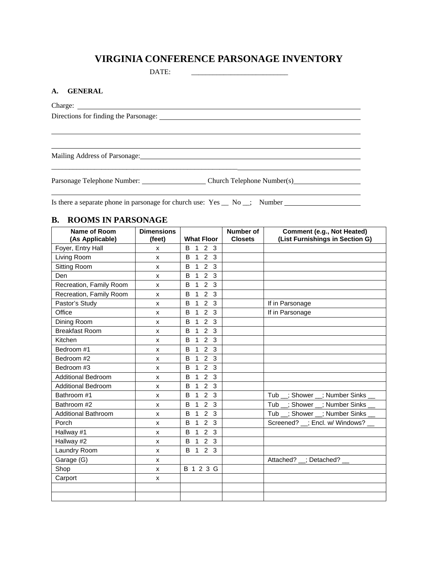#### **VIRGINIA CONFERENCE PARSONAGE INVENTORY**

DATE:

#### **A. GENERAL**

Charge:

 $\overline{a}$ 

 $\overline{a}$ 

Directions for finding the Parsonage:

Mailing Address of Parsonage:

Parsonage Telephone Number: Church Telephone Number(s)

\_\_\_\_\_\_\_\_\_\_\_\_\_\_\_\_\_\_\_\_\_\_\_\_\_\_\_\_\_\_\_\_\_\_\_\_\_\_\_\_\_\_\_\_\_\_\_\_\_\_\_\_

Is there a separate phone in parsonage for church use: Yes \_\_ No \_\_; Number \_\_\_\_\_\_\_\_\_\_\_\_\_\_\_\_\_\_\_\_\_\_\_\_\_\_\_\_\_\_\_\_\_\_

#### **B. ROOMS IN PARSONAGE**

| Name of Room<br>(As Applicable) | <b>Dimensions</b><br>(feet) | <b>What Floor</b>                   | Number of<br><b>Closets</b> | Comment (e.g., Not Heated)<br>(List Furnishings in Section G) |
|---------------------------------|-----------------------------|-------------------------------------|-----------------------------|---------------------------------------------------------------|
| Foyer, Entry Hall               | X                           | 2 <sub>3</sub><br><b>B</b> 1        |                             |                                                               |
| Living Room                     | X                           | 2 <sub>3</sub><br>$\mathbf{1}$<br>B |                             |                                                               |
| Sitting Room                    | X                           | 2 <sub>3</sub><br>$\mathbf{1}$<br>B |                             |                                                               |
| Den                             | X                           | $\mathbf{1}$<br>2 <sub>3</sub><br>B |                             |                                                               |
| Recreation, Family Room         | X                           | 2 <sub>3</sub><br>$\mathbf{1}$<br>B |                             |                                                               |
| Recreation, Family Room         | X                           | $1 \quad 2 \quad 3$<br>B            |                             |                                                               |
| Pastor's Study                  | X                           | 2 <sub>3</sub><br>$\mathbf{1}$<br>B |                             | If in Parsonage                                               |
| Office                          | X                           | 2 <sub>3</sub><br>$\mathbf{1}$<br>B |                             | If in Parsonage                                               |
| Dining Room                     | X                           | $\mathbf{1}$<br>2 <sub>3</sub><br>B |                             |                                                               |
| <b>Breakfast Room</b>           | X                           | $1 \quad 2 \quad 3$<br>B            |                             |                                                               |
| Kitchen                         | X                           | 2 <sub>3</sub><br>1<br>B            |                             |                                                               |
| Bedroom #1                      | X                           | $1 \quad 2 \quad 3$<br>B            |                             |                                                               |
| Bedroom #2                      | X                           | 2 <sub>3</sub><br>$\mathbf{1}$<br>B |                             |                                                               |
| Bedroom #3                      | X                           | 123<br>B                            |                             |                                                               |
| <b>Additional Bedroom</b>       | X                           | $1 \quad 2 \quad 3$<br>B            |                             |                                                               |
| <b>Additional Bedroom</b>       | X                           | $1 \quad 2 \quad 3$<br>B            |                             |                                                               |
| Bathroom #1                     | X                           | 2 <sub>3</sub><br>$\mathbf{1}$<br>B |                             | Tub _; Shower _; Number Sinks _                               |
| Bathroom #2                     | X                           | $1 \quad 2 \quad 3$<br>B            |                             | Tub _; Shower _; Number Sinks _                               |
| <b>Additional Bathroom</b>      | X                           | 2 <sub>3</sub><br>$\mathbf{1}$<br>B |                             | Tub _; Shower _; Number Sinks _                               |
| Porch                           | X                           | 123<br>B                            |                             | Screened? _; Encl. w/ Windows? _                              |
| Hallway #1                      | X                           | 2 <sub>3</sub><br>$\mathbf{1}$<br>B |                             |                                                               |
| Hallway #2                      | X                           | $1 \quad 2 \quad 3$<br>B            |                             |                                                               |
| Laundry Room                    | X                           | B 1 2 3                             |                             |                                                               |
| Garage (G)                      | X                           |                                     |                             | Attached? _; Detached? _                                      |
| Shop                            | X                           | B 1 2 3 G                           |                             |                                                               |
| Carport                         | X                           |                                     |                             |                                                               |
|                                 |                             |                                     |                             |                                                               |
|                                 |                             |                                     |                             |                                                               |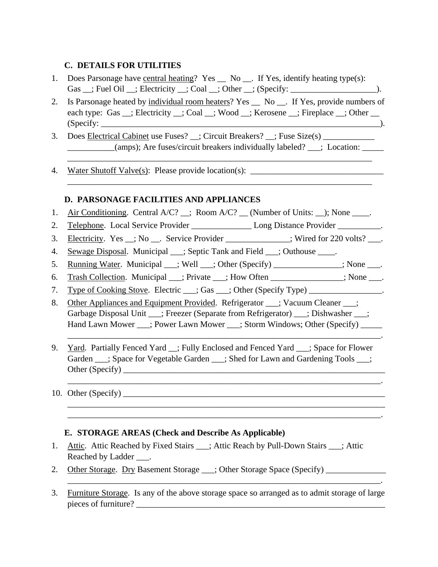#### **C. DETAILS FOR UTILITIES**

- 1. Does Parsonage have central heating? Yes \_\_ No \_\_. If Yes, identify heating type(s): Gas \_\_; Fuel Oil \_\_; Electricity \_\_; Coal \_\_; Other \_\_; (Specify: \_\_\_\_\_\_\_\_\_\_\_\_\_\_\_\_\_\_\_\_).
- 2. Is Parsonage heated by individual room heaters? Yes \_\_ No \_\_. If Yes, provide numbers of each type: Gas \_\_; Electricity \_\_; Coal \_\_; Wood \_\_; Kerosene \_\_; Fireplace \_\_; Other \_\_ (Specify: \_\_\_\_\_\_\_\_\_\_\_\_\_\_\_\_\_\_\_\_\_\_\_\_\_\_\_\_\_\_\_\_\_\_\_\_\_\_\_\_\_\_\_\_\_\_\_\_\_\_\_\_\_\_\_\_\_\_\_\_\_\_\_\_\_).
- 3. Does Electrical Cabinet use Fuses? \_\_; Circuit Breakers? \_\_; Fuse Size(s) \_\_\_\_\_\_\_\_\_\_\_ \_\_\_\_\_\_\_\_\_\_\_(amps); Are fuses/circuit breakers individually labeled? \_\_\_; Location: \_\_\_\_\_

\_\_\_\_\_\_\_\_\_\_\_\_\_\_\_\_\_\_\_\_\_\_\_\_\_\_\_\_\_\_\_\_\_\_\_\_\_\_\_\_\_\_\_\_\_\_\_\_\_\_\_\_\_\_\_\_\_\_\_\_\_\_\_\_\_\_\_\_\_\_\_

\_\_\_\_\_\_\_\_\_\_\_\_\_\_\_\_\_\_\_\_\_\_\_\_\_\_\_\_\_\_\_\_\_\_\_\_\_\_\_\_\_\_\_\_\_\_\_\_\_\_\_\_\_\_\_\_\_\_\_\_\_\_\_\_\_\_\_\_\_\_\_

4. Water Shutoff Valve(s): Please provide location(s): \_\_\_\_\_\_\_\_\_\_\_\_\_\_\_\_\_\_\_\_\_\_\_\_\_\_

#### **D. PARSONAGE FACILITIES AND APPLIANCES**

- 1. Air Conditioning. Central A/C? \_\_; Room A/C? \_\_ (Number of Units: \_\_); None \_\_\_\_.
- 2. Telephone. Local Service Provider Long Distance Provider 2.
- 3. Electricity. Yes \_; No \_\_. Service Provider \_\_\_\_\_\_\_\_\_\_\_; Wired for 220 volts? \_\_\_.
- 4. Sewage Disposal. Municipal \_\_\_; Septic Tank and Field \_\_\_; Outhouse \_\_\_\_.
- 5. Running Water. Municipal \_\_\_; Well \_\_\_; Other (Specify) \_\_\_\_\_\_\_\_\_\_\_\_\_; None \_\_\_.
- 6. Trash Collection. Municipal : Private : How Often : None .
- 7. Type of Cooking Stove. Electric \_\_\_; Gas \_\_\_; Other (Specify Type) \_\_\_\_\_\_\_\_\_\_\_\_\_\_.
- 8. Other Appliances and Equipment Provided. Refrigerator \_\_\_; Vacuum Cleaner \_\_\_; Garbage Disposal Unit \_\_\_; Freezer (Separate from Refrigerator) \_\_\_; Dishwasher \_\_\_; Hand Lawn Mower \_\_\_; Power Lawn Mower \_\_\_; Storm Windows; Other (Specify) \_\_\_\_\_
- 9. Yard. Partially Fenced Yard : Fully Enclosed and Fenced Yard : Space for Flower Garden \_\_\_; Space for Vegetable Garden \_\_\_; Shed for Lawn and Gardening Tools \_\_\_; Other (Specify) \_\_\_\_\_\_\_\_\_\_\_\_\_\_\_\_\_\_\_\_\_\_\_\_\_\_\_\_\_\_\_\_\_\_\_\_\_\_\_\_\_\_\_\_\_\_\_\_\_\_\_\_\_\_\_\_\_\_\_\_\_

\_\_\_\_\_\_\_\_\_\_\_\_\_\_\_\_\_\_\_\_\_\_\_\_\_\_\_\_\_\_\_\_\_\_\_\_\_\_\_\_\_\_\_\_\_\_\_\_\_\_\_\_\_\_\_\_\_\_\_\_\_\_\_\_\_\_\_\_\_\_\_\_\_.

\_\_\_\_\_\_\_\_\_\_\_\_\_\_\_\_\_\_\_\_\_\_\_\_\_\_\_\_\_\_\_\_\_\_\_\_\_\_\_\_\_\_\_\_\_\_\_\_\_\_\_\_\_\_\_\_\_\_\_\_\_\_\_\_\_\_\_\_\_\_\_\_\_\_ \_\_\_\_\_\_\_\_\_\_\_\_\_\_\_\_\_\_\_\_\_\_\_\_\_\_\_\_\_\_\_\_\_\_\_\_\_\_\_\_\_\_\_\_\_\_\_\_\_\_\_\_\_\_\_\_\_\_\_\_\_\_\_\_\_\_\_\_\_\_\_\_\_.

 $\mathcal{L}_\mathcal{L} = \mathcal{L}_\mathcal{L} = \mathcal{L}_\mathcal{L} = \mathcal{L}_\mathcal{L} = \mathcal{L}_\mathcal{L} = \mathcal{L}_\mathcal{L} = \mathcal{L}_\mathcal{L} = \mathcal{L}_\mathcal{L} = \mathcal{L}_\mathcal{L} = \mathcal{L}_\mathcal{L} = \mathcal{L}_\mathcal{L} = \mathcal{L}_\mathcal{L} = \mathcal{L}_\mathcal{L} = \mathcal{L}_\mathcal{L} = \mathcal{L}_\mathcal{L} = \mathcal{L}_\mathcal{L} = \mathcal{L}_\mathcal{L}$ 

#### 10. Other (Specify) \_\_\_\_\_\_\_\_\_\_\_\_\_\_\_\_\_\_\_\_\_\_\_\_\_\_\_\_\_\_\_\_\_\_\_\_\_\_\_\_\_\_\_\_\_\_\_\_\_\_\_\_\_\_\_\_\_\_\_\_\_

#### **E. STORAGE AREAS (Check and Describe As Applicable)**

- 1. Attic. Attic Reached by Fixed Stairs \_\_\_; Attic Reach by Pull-Down Stairs \_\_\_; Attic Reached by Ladder \_\_\_.
- 2. Other Storage. Dry Basement Storage \_\_\_; Other Storage Space (Specify) \_\_\_\_\_\_\_
- 3. Furniture Storage. Is any of the above storage space so arranged as to admit storage of large pieces of furniture?

\_\_\_\_\_\_\_\_\_\_\_\_\_\_\_\_\_\_\_\_\_\_\_\_\_\_\_\_\_\_\_\_\_\_\_\_\_\_\_\_\_\_\_\_\_\_\_\_\_\_\_\_\_\_\_\_\_\_\_\_\_\_\_\_\_\_\_\_\_\_\_\_\_.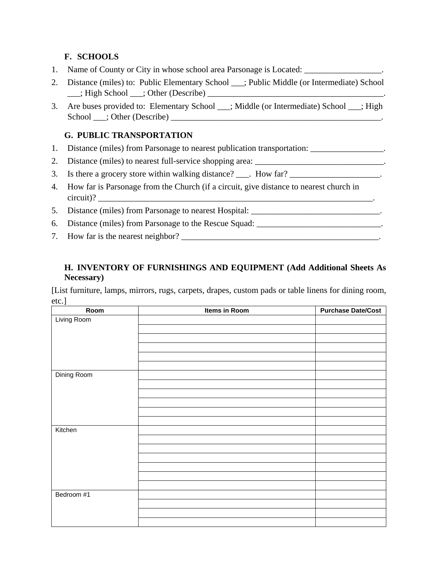#### **F. SCHOOLS**

- 1. Name of County or City in whose school area Parsonage is Located: \_\_\_\_\_\_\_\_\_\_\_\_\_\_\_\_.
- 2. Distance (miles) to: Public Elementary School \_\_\_; Public Middle (or Intermediate) School \_\_\_; High School \_\_\_; Other (Describe) \_\_\_\_\_\_\_\_\_\_\_\_\_\_\_\_\_\_\_\_\_\_\_\_\_\_\_\_\_\_\_\_\_\_\_\_\_\_\_\_\_.
- 3. Are buses provided to: Elementary School \_\_\_; Middle (or Intermediate) School \_\_\_; High School \_\_\_; Other (Describe) \_\_\_\_\_\_\_\_\_\_\_\_\_\_\_\_\_\_\_\_\_\_\_\_\_\_\_\_\_\_\_\_\_\_\_\_\_\_\_\_\_\_\_\_\_\_\_\_\_.

#### **G. PUBLIC TRANSPORTATION**

- 1. Distance (miles) from Parsonage to nearest publication transportation: \_\_\_\_\_\_\_\_\_\_\_\_\_\_\_.
- 2. Distance (miles) to nearest full-service shopping area: \_\_\_\_\_\_\_\_\_\_\_\_\_\_\_\_\_\_\_\_\_\_\_\_\_\_\_\_\_.
- 3. Is there a grocery store within walking distance? For How far?
- 4. How far is Parsonage from the Church (if a circuit, give distance to nearest church in circuit)?
- 5. Distance (miles) from Parsonage to nearest Hospital: \_\_\_\_\_\_\_\_\_\_\_\_\_\_\_\_\_\_\_\_\_\_\_\_\_\_
- 6. Distance (miles) from Parsonage to the Rescue Squad: \_\_\_\_\_\_\_\_\_\_\_\_\_\_\_\_\_\_\_\_\_\_\_\_\_
- 7. How far is the nearest neighbor? \_\_\_\_\_\_\_\_\_\_\_\_\_\_\_\_\_\_\_\_\_\_\_\_\_\_\_\_\_\_\_\_\_\_\_\_\_\_\_\_\_\_\_\_\_\_.

#### **H. INVENTORY OF FURNISHINGS AND EQUIPMENT (Add Additional Sheets As Necessary)**

[List furniture, lamps, mirrors, rugs, carpets, drapes, custom pads or table linens for dining room, etc.]

| Room        | Items in Room | <b>Purchase Date/Cost</b> |
|-------------|---------------|---------------------------|
| Living Room |               |                           |
|             |               |                           |
|             |               |                           |
|             |               |                           |
|             |               |                           |
|             |               |                           |
| Dining Room |               |                           |
|             |               |                           |
|             |               |                           |
|             |               |                           |
|             |               |                           |
|             |               |                           |
| Kitchen     |               |                           |
|             |               |                           |
|             |               |                           |
|             |               |                           |
|             |               |                           |
|             |               |                           |
|             |               |                           |
| Bedroom #1  |               |                           |
|             |               |                           |
|             |               |                           |
|             |               |                           |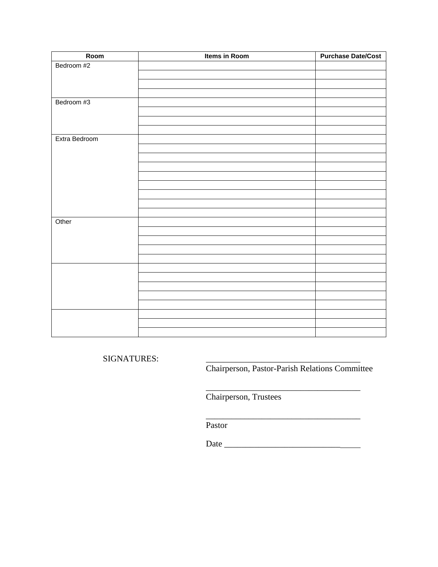| Room          | Items in Room | <b>Purchase Date/Cost</b> |
|---------------|---------------|---------------------------|
| Bedroom #2    |               |                           |
|               |               |                           |
|               |               |                           |
|               |               |                           |
| Bedroom #3    |               |                           |
|               |               |                           |
|               |               |                           |
|               |               |                           |
| Extra Bedroom |               |                           |
|               |               |                           |
|               |               |                           |
|               |               |                           |
|               |               |                           |
|               |               |                           |
|               |               |                           |
|               |               |                           |
|               |               |                           |
| Other         |               |                           |
|               |               |                           |
|               |               |                           |
|               |               |                           |
|               |               |                           |
|               |               |                           |
|               |               |                           |
|               |               |                           |
|               |               |                           |
|               |               |                           |
|               |               |                           |
|               |               |                           |
|               |               |                           |

SIGNATURES:

Chairperson, Pastor-Parish Relations Committee

\_\_\_\_\_\_\_\_\_\_\_\_\_\_\_\_\_\_\_\_\_\_\_\_\_\_\_\_\_\_\_\_\_\_\_\_

Chairperson, Trustees

 $\frac{1}{\sqrt{2}}$  ,  $\frac{1}{\sqrt{2}}$  ,  $\frac{1}{\sqrt{2}}$  ,  $\frac{1}{\sqrt{2}}$  ,  $\frac{1}{\sqrt{2}}$  ,  $\frac{1}{\sqrt{2}}$  ,  $\frac{1}{\sqrt{2}}$  ,  $\frac{1}{\sqrt{2}}$  ,  $\frac{1}{\sqrt{2}}$  ,  $\frac{1}{\sqrt{2}}$  ,  $\frac{1}{\sqrt{2}}$  ,  $\frac{1}{\sqrt{2}}$  ,  $\frac{1}{\sqrt{2}}$  ,  $\frac{1}{\sqrt{2}}$  ,  $\frac{1}{\sqrt{2}}$ 

Pastor

Date \_\_\_\_\_\_\_\_\_\_\_\_\_\_\_\_\_\_\_\_\_\_\_\_\_\_\_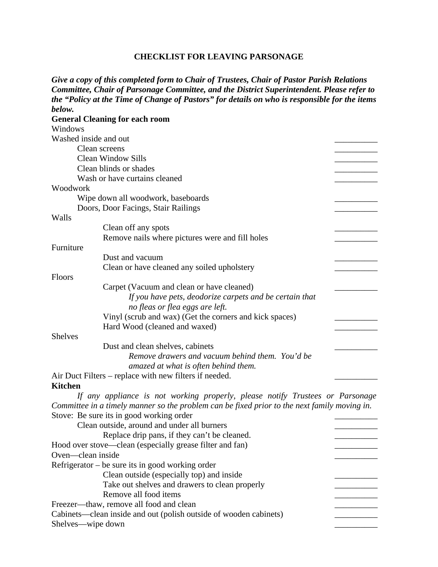#### **CHECKLIST FOR LEAVING PARSONAGE**

|                       | Give a copy of this completed form to Chair of Trustees, Chair of Pastor Parish Relations     |  |
|-----------------------|-----------------------------------------------------------------------------------------------|--|
|                       | Committee, Chair of Parsonage Committee, and the District Superintendent. Please refer to     |  |
|                       | the "Policy at the Time of Change of Pastors" for details on who is responsible for the items |  |
| below.                |                                                                                               |  |
|                       | <b>General Cleaning for each room</b>                                                         |  |
| Windows               |                                                                                               |  |
| Washed inside and out |                                                                                               |  |
|                       | Clean screens                                                                                 |  |
|                       | <b>Clean Window Sills</b>                                                                     |  |
|                       | Clean blinds or shades                                                                        |  |
|                       | Wash or have curtains cleaned                                                                 |  |
| Woodwork              |                                                                                               |  |
|                       | Wipe down all woodwork, baseboards                                                            |  |
|                       | Doors, Door Facings, Stair Railings                                                           |  |
| Walls                 |                                                                                               |  |
|                       | Clean off any spots                                                                           |  |
|                       | Remove nails where pictures were and fill holes                                               |  |
| Furniture             |                                                                                               |  |
|                       | Dust and vacuum                                                                               |  |
|                       | Clean or have cleaned any soiled upholstery                                                   |  |
| Floors                |                                                                                               |  |
|                       | Carpet (Vacuum and clean or have cleaned)                                                     |  |
|                       | If you have pets, deodorize carpets and be certain that                                       |  |
|                       | no fleas or flea eggs are left.                                                               |  |
|                       | Vinyl (scrub and wax) (Get the corners and kick spaces)                                       |  |
|                       | Hard Wood (cleaned and waxed)                                                                 |  |
| <b>Shelves</b>        |                                                                                               |  |
|                       | Dust and clean shelves, cabinets                                                              |  |
|                       | Remove drawers and vacuum behind them. You'd be                                               |  |
|                       | amazed at what is often behind them.                                                          |  |
|                       | Air Duct Filters – replace with new filters if needed.                                        |  |
| <b>Kitchen</b>        |                                                                                               |  |
|                       | If any appliance is not working properly, please notify Trustees or Parsonage                 |  |
|                       | Committee in a timely manner so the problem can be fixed prior to the next family moving in.  |  |
|                       | Stove: Be sure its in good working order                                                      |  |
|                       | Clean outside, around and under all burners                                                   |  |
|                       | Replace drip pans, if they can't be cleaned.                                                  |  |
|                       | Hood over stove—clean (especially grease filter and fan)                                      |  |
| Oven—clean inside     |                                                                                               |  |
|                       | Refrigerator – be sure its in good working order                                              |  |
|                       | Clean outside (especially top) and inside                                                     |  |
|                       | Take out shelves and drawers to clean properly                                                |  |
|                       | Remove all food items                                                                         |  |
|                       | Freezer-thaw, remove all food and clean                                                       |  |
|                       | Cabinets—clean inside and out (polish outside of wooden cabinets)                             |  |
| Shelves—wipe down     |                                                                                               |  |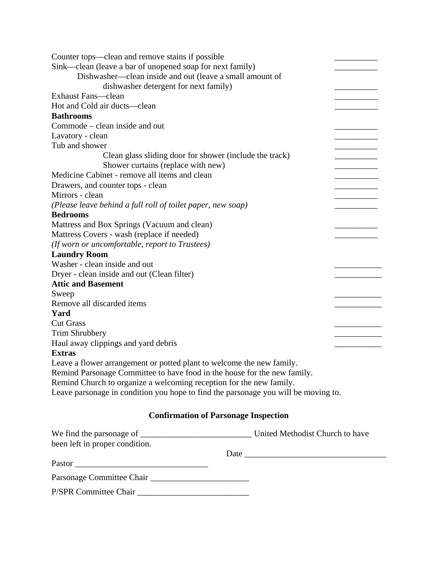| Counter tops—clean and remove stains if possible                                   |  |  |  |
|------------------------------------------------------------------------------------|--|--|--|
| Sink—clean (leave a bar of unopened soap for next family)                          |  |  |  |
| Dishwasher—clean inside and out (leave a small amount of                           |  |  |  |
| dishwasher detergent for next family)                                              |  |  |  |
| <b>Exhaust Fans—clean</b>                                                          |  |  |  |
| Hot and Cold air ducts—clean                                                       |  |  |  |
| <b>Bathrooms</b>                                                                   |  |  |  |
| Commode – clean inside and out                                                     |  |  |  |
| Lavatory - clean                                                                   |  |  |  |
| Tub and shower                                                                     |  |  |  |
| Clean glass sliding door for shower (include the track)                            |  |  |  |
| Shower curtains (replace with new)                                                 |  |  |  |
| Medicine Cabinet - remove all items and clean                                      |  |  |  |
| Drawers, and counter tops - clean                                                  |  |  |  |
| Mirrors - clean                                                                    |  |  |  |
| (Please leave behind a full roll of toilet paper, new soap)                        |  |  |  |
| <b>Bedrooms</b>                                                                    |  |  |  |
| Mattress and Box Springs (Vacuum and clean)                                        |  |  |  |
| Mattress Covers - wash (replace if needed)                                         |  |  |  |
| (If worn or uncomfortable, report to Trustees)                                     |  |  |  |
| <b>Laundry Room</b>                                                                |  |  |  |
| Washer - clean inside and out                                                      |  |  |  |
| Dryer - clean inside and out (Clean filter)                                        |  |  |  |
| <b>Attic and Basement</b>                                                          |  |  |  |
| Sweep                                                                              |  |  |  |
| Remove all discarded items                                                         |  |  |  |
| Yard                                                                               |  |  |  |
| <b>Cut Grass</b>                                                                   |  |  |  |
| Trim Shrubbery                                                                     |  |  |  |
| Haul away clippings and yard debris                                                |  |  |  |
| <b>Extras</b>                                                                      |  |  |  |
| Leave a flower arrangement or potted plant to welcome the new family.              |  |  |  |
| Remind Parsonage Committee to have food in the house for the new family.           |  |  |  |
| Remind Church to organize a welcoming reception for the new family.                |  |  |  |
| Leave parsonage in condition you hope to find the parsonage you will be moving to. |  |  |  |
|                                                                                    |  |  |  |
| <b>Confirmation of Parsonage Inspection</b>                                        |  |  |  |

| We find the parsonage of       | United Methodist Church to have |
|--------------------------------|---------------------------------|
| been left in proper condition. |                                 |
|                                | Date $\qquad \qquad$            |
| Pastor                         |                                 |
|                                |                                 |
| P/SPR Committee Chair          |                                 |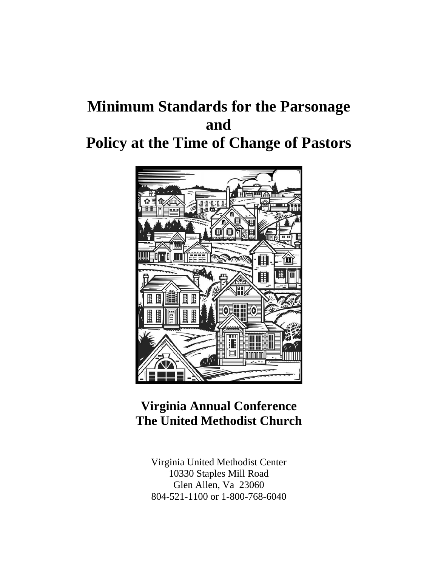## **Minimum Standards for the Parsonage and Policy at the Time of Change of Pastors**



## **Virginia Annual Conference The United Methodist Church**

Virginia United Methodist Center 10330 Staples Mill Road Glen Allen, Va 23060 804-521-1100 or 1-800-768-6040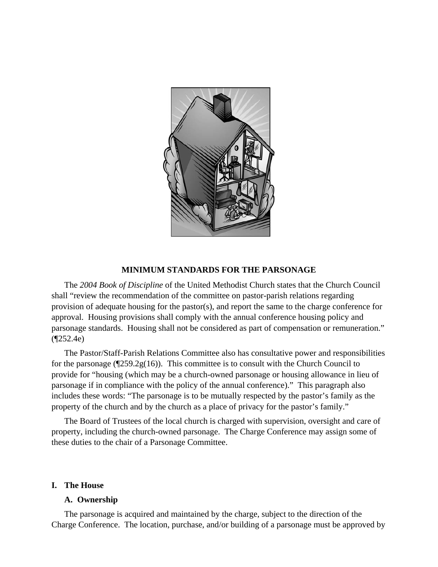

#### **MINIMUM STANDARDS FOR THE PARSONAGE**

The *2004 Book of Discipline* of the United Methodist Church states that the Church Council shall "review the recommendation of the committee on pastor-parish relations regarding provision of adequate housing for the pastor(s), and report the same to the charge conference for approval. Housing provisions shall comply with the annual conference housing policy and parsonage standards. Housing shall not be considered as part of compensation or remuneration." (¶252.4e)

The Pastor/Staff-Parish Relations Committee also has consultative power and responsibilities for the parsonage ( $\sqrt{259.2g(16)}$ ). This committee is to consult with the Church Council to provide for "housing (which may be a church-owned parsonage or housing allowance in lieu of parsonage if in compliance with the policy of the annual conference)." This paragraph also includes these words: "The parsonage is to be mutually respected by the pastor's family as the property of the church and by the church as a place of privacy for the pastor's family."

The Board of Trustees of the local church is charged with supervision, oversight and care of property, including the church-owned parsonage. The Charge Conference may assign some of these duties to the chair of a Parsonage Committee.

#### **I. The House**

#### **A. Ownership**

The parsonage is acquired and maintained by the charge, subject to the direction of the Charge Conference. The location, purchase, and/or building of a parsonage must be approved by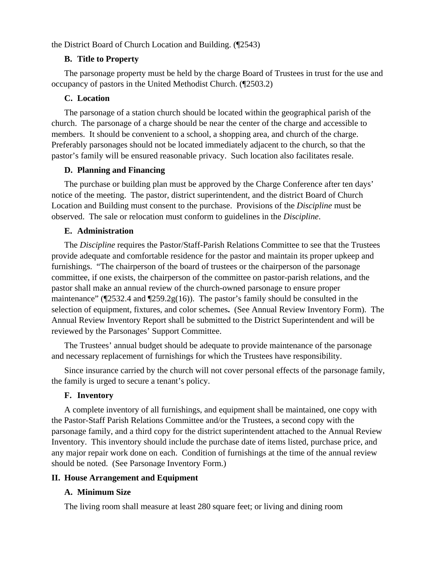the District Board of Church Location and Building. (¶2543)

#### **B. Title to Property**

The parsonage property must be held by the charge Board of Trustees in trust for the use and occupancy of pastors in the United Methodist Church. (¶2503.2)

#### **C. Location**

The parsonage of a station church should be located within the geographical parish of the church. The parsonage of a charge should be near the center of the charge and accessible to members. It should be convenient to a school, a shopping area, and church of the charge. Preferably parsonages should not be located immediately adjacent to the church, so that the pastor's family will be ensured reasonable privacy. Such location also facilitates resale.

#### **D. Planning and Financing**

The purchase or building plan must be approved by the Charge Conference after ten days' notice of the meeting. The pastor, district superintendent, and the district Board of Church Location and Building must consent to the purchase. Provisions of the *Discipline* must be observed. The sale or relocation must conform to guidelines in the *Discipline*.

#### **E. Administration**

The *Discipline* requires the Pastor/Staff-Parish Relations Committee to see that the Trustees provide adequate and comfortable residence for the pastor and maintain its proper upkeep and furnishings. "The chairperson of the board of trustees or the chairperson of the parsonage committee, if one exists, the chairperson of the committee on pastor-parish relations, and the pastor shall make an annual review of the church-owned parsonage to ensure proper maintenance" (¶2532.4 and ¶259.2g(16)). The pastor's family should be consulted in the selection of equipment, fixtures, and color schemes**.** (See Annual Review Inventory Form). The Annual Review Inventory Report shall be submitted to the District Superintendent and will be reviewed by the Parsonages' Support Committee.

The Trustees' annual budget should be adequate to provide maintenance of the parsonage and necessary replacement of furnishings for which the Trustees have responsibility.

Since insurance carried by the church will not cover personal effects of the parsonage family, the family is urged to secure a tenant's policy.

#### **F. Inventory**

A complete inventory of all furnishings, and equipment shall be maintained, one copy with the Pastor-Staff Parish Relations Committee and/or the Trustees, a second copy with the parsonage family, and a third copy for the district superintendent attached to the Annual Review Inventory. This inventory should include the purchase date of items listed, purchase price, and any major repair work done on each. Condition of furnishings at the time of the annual review should be noted. (See Parsonage Inventory Form.)

#### **II. House Arrangement and Equipment**

#### **A. Minimum Size**

The living room shall measure at least 280 square feet; or living and dining room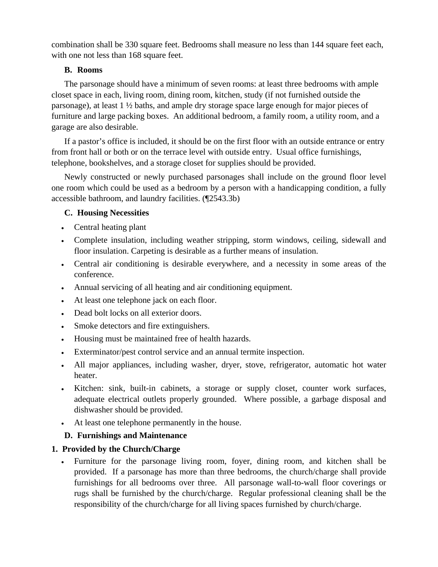combination shall be 330 square feet. Bedrooms shall measure no less than 144 square feet each, with one not less than 168 square feet.

#### **B. Rooms**

The parsonage should have a minimum of seven rooms: at least three bedrooms with ample closet space in each, living room, dining room, kitchen, study (if not furnished outside the parsonage), at least 1 ½ baths, and ample dry storage space large enough for major pieces of furniture and large packing boxes. An additional bedroom, a family room, a utility room, and a garage are also desirable.

If a pastor's office is included, it should be on the first floor with an outside entrance or entry from front hall or both or on the terrace level with outside entry. Usual office furnishings, telephone, bookshelves, and a storage closet for supplies should be provided.

Newly constructed or newly purchased parsonages shall include on the ground floor level one room which could be used as a bedroom by a person with a handicapping condition, a fully accessible bathroom, and laundry facilities. (¶2543.3b)

#### **C. Housing Necessities**

- Central heating plant
- Complete insulation, including weather stripping, storm windows, ceiling, sidewall and floor insulation. Carpeting is desirable as a further means of insulation.
- Central air conditioning is desirable everywhere, and a necessity in some areas of the conference.
- Annual servicing of all heating and air conditioning equipment.
- At least one telephone jack on each floor.
- Dead bolt locks on all exterior doors.
- Smoke detectors and fire extinguishers.
- Housing must be maintained free of health hazards.
- Exterminator/pest control service and an annual termite inspection.
- All major appliances, including washer, dryer, stove, refrigerator, automatic hot water heater.
- Kitchen: sink, built-in cabinets, a storage or supply closet, counter work surfaces, adequate electrical outlets properly grounded. Where possible, a garbage disposal and dishwasher should be provided.
- At least one telephone permanently in the house.

#### **D. Furnishings and Maintenance**

#### **1. Provided by the Church/Charge**

• Furniture for the parsonage living room, foyer, dining room, and kitchen shall be provided. If a parsonage has more than three bedrooms, the church/charge shall provide furnishings for all bedrooms over three. All parsonage wall-to-wall floor coverings or rugs shall be furnished by the church/charge. Regular professional cleaning shall be the responsibility of the church/charge for all living spaces furnished by church/charge.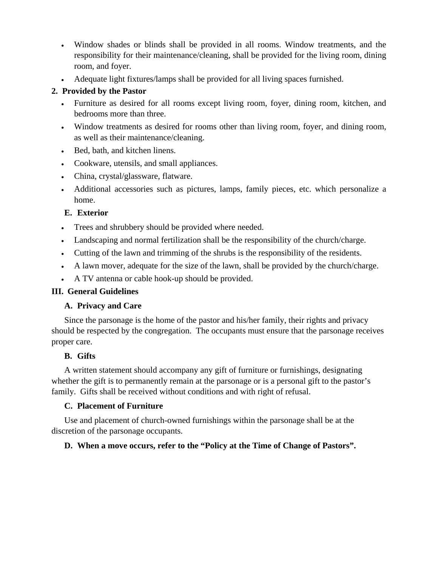- Window shades or blinds shall be provided in all rooms. Window treatments, and the responsibility for their maintenance/cleaning, shall be provided for the living room, dining room, and foyer.
- Adequate light fixtures/lamps shall be provided for all living spaces furnished.

#### **2. Provided by the Pastor**

- Furniture as desired for all rooms except living room, foyer, dining room, kitchen, and bedrooms more than three.
- Window treatments as desired for rooms other than living room, foyer, and dining room, as well as their maintenance/cleaning.
- Bed, bath, and kitchen linens.
- Cookware, utensils, and small appliances.
- China, crystal/glassware, flatware.
- Additional accessories such as pictures, lamps, family pieces, etc. which personalize a home.

#### **E. Exterior**

- Trees and shrubbery should be provided where needed.
- Landscaping and normal fertilization shall be the responsibility of the church/charge.
- Cutting of the lawn and trimming of the shrubs is the responsibility of the residents.
- A lawn mover, adequate for the size of the lawn, shall be provided by the church/charge.
- A TV antenna or cable hook-up should be provided.

#### **III. General Guidelines**

#### **A. Privacy and Care**

Since the parsonage is the home of the pastor and his/her family, their rights and privacy should be respected by the congregation. The occupants must ensure that the parsonage receives proper care.

#### **B. Gifts**

A written statement should accompany any gift of furniture or furnishings, designating whether the gift is to permanently remain at the parsonage or is a personal gift to the pastor's family. Gifts shall be received without conditions and with right of refusal.

#### **C. Placement of Furniture**

Use and placement of church-owned furnishings within the parsonage shall be at the discretion of the parsonage occupants.

#### **D. When a move occurs, refer to the "Policy at the Time of Change of Pastors".**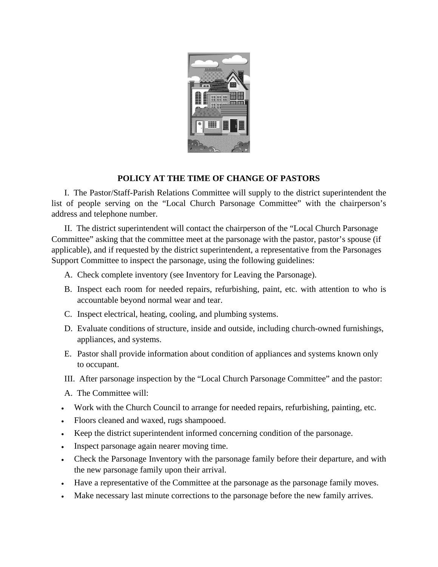

#### **POLICY AT THE TIME OF CHANGE OF PASTORS**

I. The Pastor/Staff-Parish Relations Committee will supply to the district superintendent the list of people serving on the "Local Church Parsonage Committee" with the chairperson's address and telephone number.

II. The district superintendent will contact the chairperson of the "Local Church Parsonage Committee" asking that the committee meet at the parsonage with the pastor, pastor's spouse (if applicable), and if requested by the district superintendent, a representative from the Parsonages Support Committee to inspect the parsonage, using the following guidelines:

- A. Check complete inventory (see Inventory for Leaving the Parsonage).
- B. Inspect each room for needed repairs, refurbishing, paint, etc. with attention to who is accountable beyond normal wear and tear.
- C. Inspect electrical, heating, cooling, and plumbing systems.
- D. Evaluate conditions of structure, inside and outside, including church-owned furnishings, appliances, and systems.
- E. Pastor shall provide information about condition of appliances and systems known only to occupant.
- III. After parsonage inspection by the "Local Church Parsonage Committee" and the pastor:
- A. The Committee will:
- Work with the Church Council to arrange for needed repairs, refurbishing, painting, etc.
- Floors cleaned and waxed, rugs shampooed.
- Keep the district superintendent informed concerning condition of the parsonage.
- Inspect parsonage again nearer moving time.
- Check the Parsonage Inventory with the parsonage family before their departure, and with the new parsonage family upon their arrival.
- Have a representative of the Committee at the parsonage as the parsonage family moves.
- Make necessary last minute corrections to the parsonage before the new family arrives.